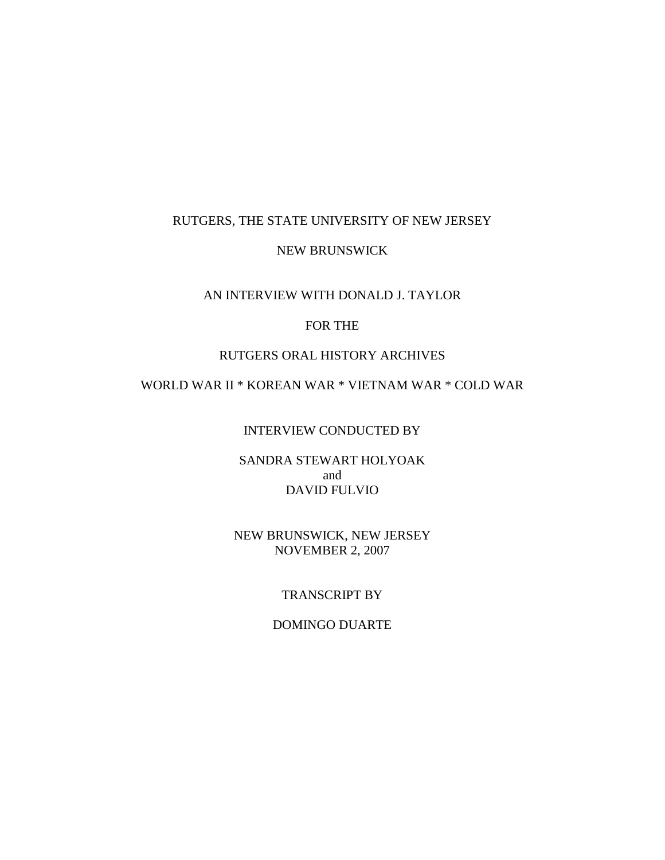#### RUTGERS, THE STATE UNIVERSITY OF NEW JERSEY

#### NEW BRUNSWICK

#### AN INTERVIEW WITH DONALD J. TAYLOR

### FOR THE

#### RUTGERS ORAL HISTORY ARCHIVES

# WORLD WAR II \* KOREAN WAR \* VIETNAM WAR \* COLD WAR

INTERVIEW CONDUCTED BY

SANDRA STEWART HOLYOAK and DAVID FULVIO

NEW BRUNSWICK, NEW JERSEY NOVEMBER 2, 2007

## TRANSCRIPT BY

#### DOMINGO DUARTE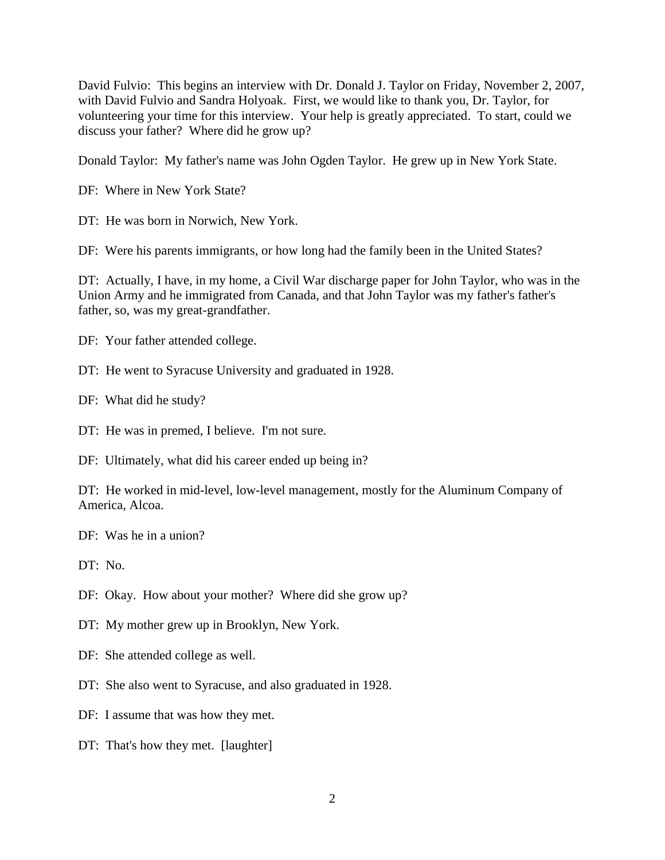David Fulvio: This begins an interview with Dr. Donald J. Taylor on Friday, November 2, 2007, with David Fulvio and Sandra Holyoak. First, we would like to thank you, Dr. Taylor, for volunteering your time for this interview. Your help is greatly appreciated. To start, could we discuss your father? Where did he grow up?

Donald Taylor: My father's name was John Ogden Taylor. He grew up in New York State.

DF: Where in New York State?

DT: He was born in Norwich, New York.

DF: Were his parents immigrants, or how long had the family been in the United States?

DT: Actually, I have, in my home, a Civil War discharge paper for John Taylor, who was in the Union Army and he immigrated from Canada, and that John Taylor was my father's father's father, so, was my great-grandfather.

DF: Your father attended college.

DT: He went to Syracuse University and graduated in 1928.

DF: What did he study?

DT: He was in premed, I believe. I'm not sure.

DF: Ultimately, what did his career ended up being in?

DT: He worked in mid-level, low-level management, mostly for the Aluminum Company of America, Alcoa.

DF: Was he in a union?

DT: No.

DF: Okay. How about your mother? Where did she grow up?

DT: My mother grew up in Brooklyn, New York.

DF: She attended college as well.

DT: She also went to Syracuse, and also graduated in 1928.

DF: I assume that was how they met.

DT: That's how they met. [laughter]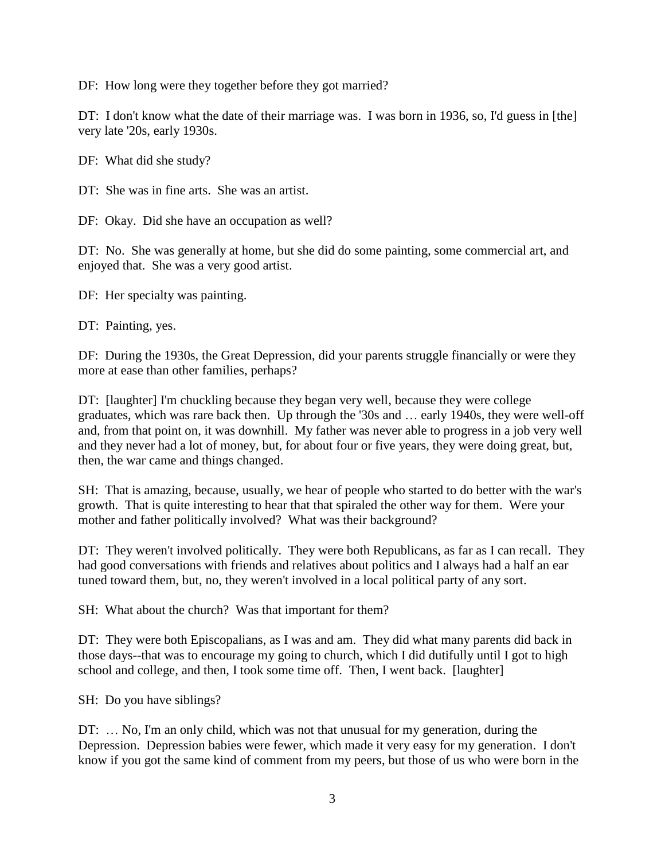DF: How long were they together before they got married?

DT: I don't know what the date of their marriage was. I was born in 1936, so, I'd guess in [the] very late '20s, early 1930s.

DF: What did she study?

DT: She was in fine arts. She was an artist.

DF: Okay. Did she have an occupation as well?

DT: No. She was generally at home, but she did do some painting, some commercial art, and enjoyed that. She was a very good artist.

DF: Her specialty was painting.

DT: Painting, yes.

DF: During the 1930s, the Great Depression, did your parents struggle financially or were they more at ease than other families, perhaps?

DT: [laughter] I'm chuckling because they began very well, because they were college graduates, which was rare back then. Up through the '30s and … early 1940s, they were well-off and, from that point on, it was downhill. My father was never able to progress in a job very well and they never had a lot of money, but, for about four or five years, they were doing great, but, then, the war came and things changed.

SH: That is amazing, because, usually, we hear of people who started to do better with the war's growth. That is quite interesting to hear that that spiraled the other way for them. Were your mother and father politically involved? What was their background?

DT: They weren't involved politically. They were both Republicans, as far as I can recall. They had good conversations with friends and relatives about politics and I always had a half an ear tuned toward them, but, no, they weren't involved in a local political party of any sort.

SH: What about the church? Was that important for them?

DT: They were both Episcopalians, as I was and am. They did what many parents did back in those days--that was to encourage my going to church, which I did dutifully until I got to high school and college, and then, I took some time off. Then, I went back. [laughter]

SH: Do you have siblings?

DT: … No, I'm an only child, which was not that unusual for my generation, during the Depression. Depression babies were fewer, which made it very easy for my generation. I don't know if you got the same kind of comment from my peers, but those of us who were born in the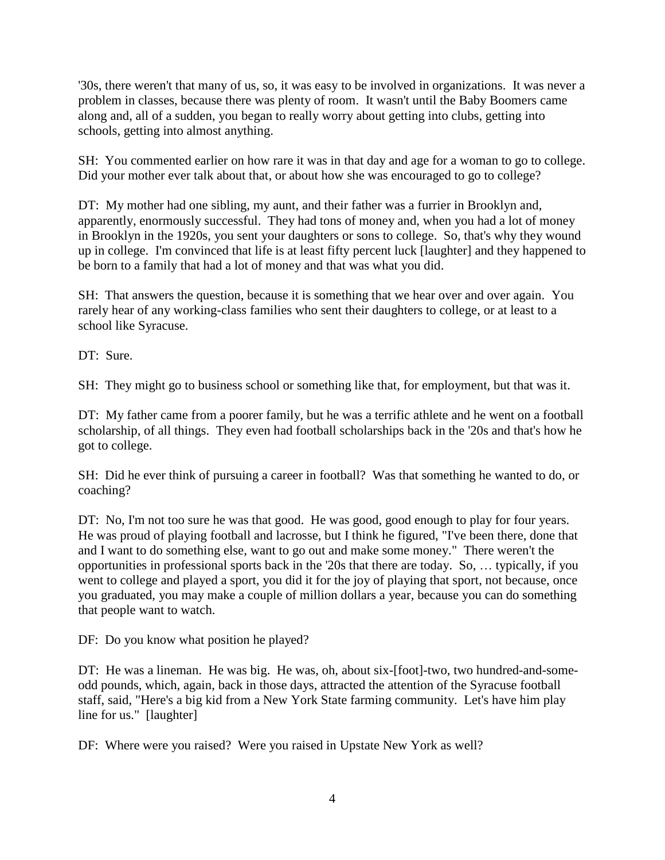'30s, there weren't that many of us, so, it was easy to be involved in organizations. It was never a problem in classes, because there was plenty of room. It wasn't until the Baby Boomers came along and, all of a sudden, you began to really worry about getting into clubs, getting into schools, getting into almost anything.

SH: You commented earlier on how rare it was in that day and age for a woman to go to college. Did your mother ever talk about that, or about how she was encouraged to go to college?

DT: My mother had one sibling, my aunt, and their father was a furrier in Brooklyn and, apparently, enormously successful. They had tons of money and, when you had a lot of money in Brooklyn in the 1920s, you sent your daughters or sons to college. So, that's why they wound up in college. I'm convinced that life is at least fifty percent luck [laughter] and they happened to be born to a family that had a lot of money and that was what you did.

SH: That answers the question, because it is something that we hear over and over again. You rarely hear of any working-class families who sent their daughters to college, or at least to a school like Syracuse.

DT: Sure.

SH: They might go to business school or something like that, for employment, but that was it.

DT: My father came from a poorer family, but he was a terrific athlete and he went on a football scholarship, of all things. They even had football scholarships back in the '20s and that's how he got to college.

SH: Did he ever think of pursuing a career in football? Was that something he wanted to do, or coaching?

DT: No, I'm not too sure he was that good. He was good, good enough to play for four years. He was proud of playing football and lacrosse, but I think he figured, "I've been there, done that and I want to do something else, want to go out and make some money." There weren't the opportunities in professional sports back in the '20s that there are today. So, … typically, if you went to college and played a sport, you did it for the joy of playing that sport, not because, once you graduated, you may make a couple of million dollars a year, because you can do something that people want to watch.

DF: Do you know what position he played?

DT: He was a lineman. He was big. He was, oh, about six-[foot]-two, two hundred-and-someodd pounds, which, again, back in those days, attracted the attention of the Syracuse football staff, said, "Here's a big kid from a New York State farming community. Let's have him play line for us." [laughter]

DF: Where were you raised? Were you raised in Upstate New York as well?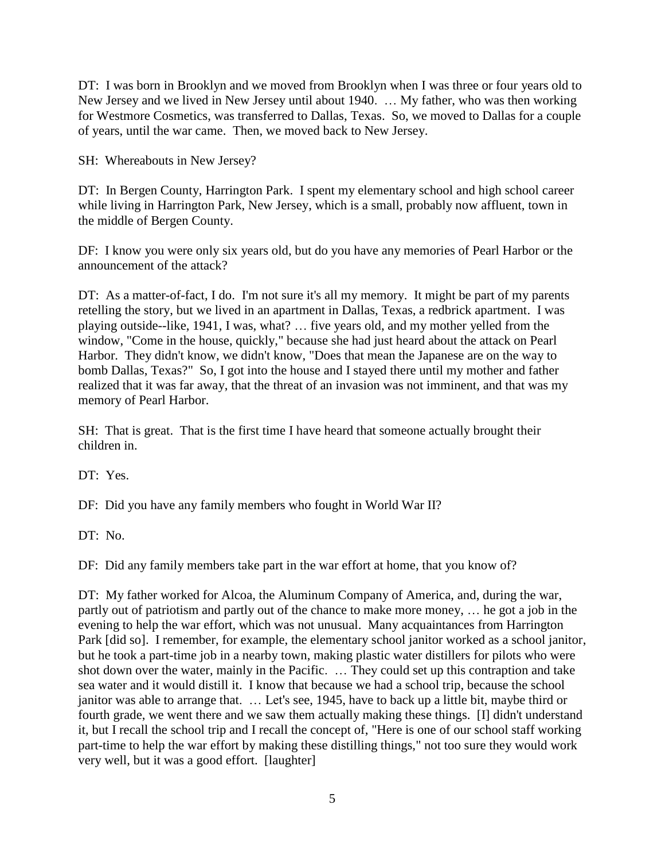DT: I was born in Brooklyn and we moved from Brooklyn when I was three or four years old to New Jersey and we lived in New Jersey until about 1940. … My father, who was then working for Westmore Cosmetics, was transferred to Dallas, Texas. So, we moved to Dallas for a couple of years, until the war came. Then, we moved back to New Jersey.

SH: Whereabouts in New Jersey?

DT: In Bergen County, Harrington Park. I spent my elementary school and high school career while living in Harrington Park, New Jersey, which is a small, probably now affluent, town in the middle of Bergen County.

DF: I know you were only six years old, but do you have any memories of Pearl Harbor or the announcement of the attack?

DT: As a matter-of-fact, I do. I'm not sure it's all my memory. It might be part of my parents retelling the story, but we lived in an apartment in Dallas, Texas, a redbrick apartment. I was playing outside--like, 1941, I was, what? … five years old, and my mother yelled from the window, "Come in the house, quickly," because she had just heard about the attack on Pearl Harbor. They didn't know, we didn't know, "Does that mean the Japanese are on the way to bomb Dallas, Texas?" So, I got into the house and I stayed there until my mother and father realized that it was far away, that the threat of an invasion was not imminent, and that was my memory of Pearl Harbor.

SH: That is great. That is the first time I have heard that someone actually brought their children in.

DT: Yes.

DF: Did you have any family members who fought in World War II?

DT: No.

DF: Did any family members take part in the war effort at home, that you know of?

DT: My father worked for Alcoa, the Aluminum Company of America, and, during the war, partly out of patriotism and partly out of the chance to make more money, … he got a job in the evening to help the war effort, which was not unusual. Many acquaintances from Harrington Park [did so]. I remember, for example, the elementary school janitor worked as a school janitor, but he took a part-time job in a nearby town, making plastic water distillers for pilots who were shot down over the water, mainly in the Pacific. … They could set up this contraption and take sea water and it would distill it. I know that because we had a school trip, because the school janitor was able to arrange that. … Let's see, 1945, have to back up a little bit, maybe third or fourth grade, we went there and we saw them actually making these things. [I] didn't understand it, but I recall the school trip and I recall the concept of, "Here is one of our school staff working part-time to help the war effort by making these distilling things," not too sure they would work very well, but it was a good effort. [laughter]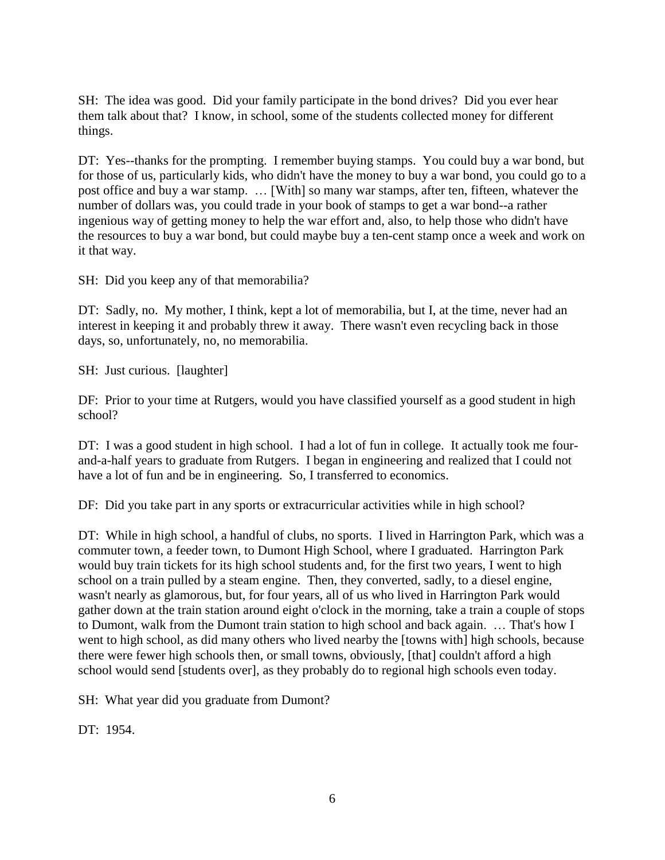SH: The idea was good. Did your family participate in the bond drives? Did you ever hear them talk about that? I know, in school, some of the students collected money for different things.

DT: Yes--thanks for the prompting. I remember buying stamps. You could buy a war bond, but for those of us, particularly kids, who didn't have the money to buy a war bond, you could go to a post office and buy a war stamp. … [With] so many war stamps, after ten, fifteen, whatever the number of dollars was, you could trade in your book of stamps to get a war bond--a rather ingenious way of getting money to help the war effort and, also, to help those who didn't have the resources to buy a war bond, but could maybe buy a ten-cent stamp once a week and work on it that way.

SH: Did you keep any of that memorabilia?

DT: Sadly, no. My mother, I think, kept a lot of memorabilia, but I, at the time, never had an interest in keeping it and probably threw it away. There wasn't even recycling back in those days, so, unfortunately, no, no memorabilia.

SH: Just curious. [laughter]

DF: Prior to your time at Rutgers, would you have classified yourself as a good student in high school?

DT: I was a good student in high school. I had a lot of fun in college. It actually took me fourand-a-half years to graduate from Rutgers. I began in engineering and realized that I could not have a lot of fun and be in engineering. So, I transferred to economics.

DF: Did you take part in any sports or extracurricular activities while in high school?

DT: While in high school, a handful of clubs, no sports. I lived in Harrington Park, which was a commuter town, a feeder town, to Dumont High School, where I graduated. Harrington Park would buy train tickets for its high school students and, for the first two years, I went to high school on a train pulled by a steam engine. Then, they converted, sadly, to a diesel engine, wasn't nearly as glamorous, but, for four years, all of us who lived in Harrington Park would gather down at the train station around eight o'clock in the morning, take a train a couple of stops to Dumont, walk from the Dumont train station to high school and back again. … That's how I went to high school, as did many others who lived nearby the [towns with] high schools, because there were fewer high schools then, or small towns, obviously, [that] couldn't afford a high school would send [students over], as they probably do to regional high schools even today.

SH: What year did you graduate from Dumont?

DT: 1954.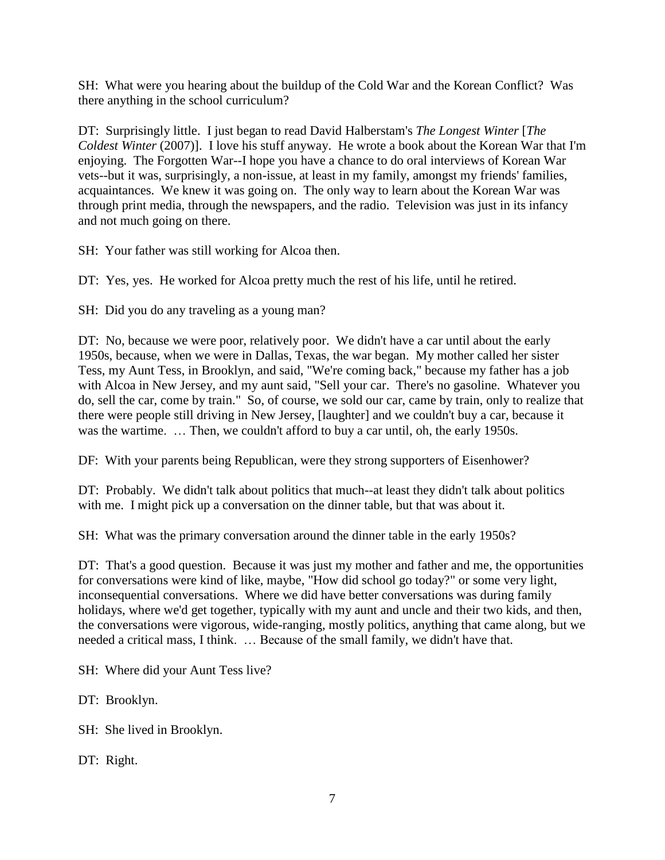SH: What were you hearing about the buildup of the Cold War and the Korean Conflict? Was there anything in the school curriculum?

DT: Surprisingly little. I just began to read David Halberstam's *The Longest Winter* [*The Coldest Winter* (2007)]. I love his stuff anyway. He wrote a book about the Korean War that I'm enjoying. The Forgotten War--I hope you have a chance to do oral interviews of Korean War vets--but it was, surprisingly, a non-issue, at least in my family, amongst my friends' families, acquaintances. We knew it was going on. The only way to learn about the Korean War was through print media, through the newspapers, and the radio. Television was just in its infancy and not much going on there.

SH: Your father was still working for Alcoa then.

DT: Yes, yes. He worked for Alcoa pretty much the rest of his life, until he retired.

SH: Did you do any traveling as a young man?

DT: No, because we were poor, relatively poor. We didn't have a car until about the early 1950s, because, when we were in Dallas, Texas, the war began. My mother called her sister Tess, my Aunt Tess, in Brooklyn, and said, "We're coming back," because my father has a job with Alcoa in New Jersey, and my aunt said, "Sell your car. There's no gasoline. Whatever you do, sell the car, come by train." So, of course, we sold our car, came by train, only to realize that there were people still driving in New Jersey, [laughter] and we couldn't buy a car, because it was the wartime. … Then, we couldn't afford to buy a car until, oh, the early 1950s.

DF: With your parents being Republican, were they strong supporters of Eisenhower?

DT: Probably. We didn't talk about politics that much--at least they didn't talk about politics with me. I might pick up a conversation on the dinner table, but that was about it.

SH: What was the primary conversation around the dinner table in the early 1950s?

DT: That's a good question. Because it was just my mother and father and me, the opportunities for conversations were kind of like, maybe, "How did school go today?" or some very light, inconsequential conversations. Where we did have better conversations was during family holidays, where we'd get together, typically with my aunt and uncle and their two kids, and then, the conversations were vigorous, wide-ranging, mostly politics, anything that came along, but we needed a critical mass, I think. … Because of the small family, we didn't have that.

SH: Where did your Aunt Tess live?

DT: Brooklyn.

SH: She lived in Brooklyn.

DT: Right.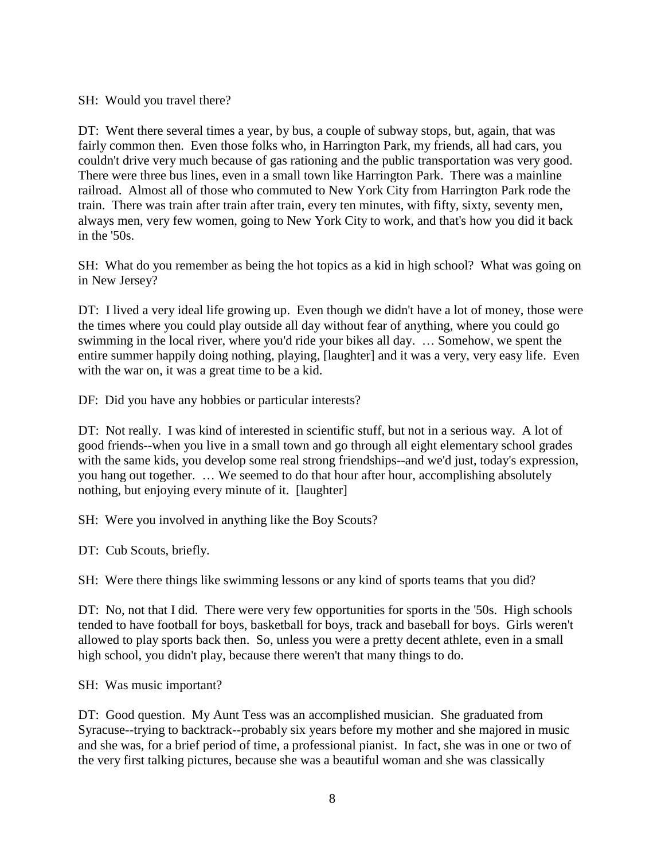SH: Would you travel there?

DT: Went there several times a year, by bus, a couple of subway stops, but, again, that was fairly common then. Even those folks who, in Harrington Park, my friends, all had cars, you couldn't drive very much because of gas rationing and the public transportation was very good. There were three bus lines, even in a small town like Harrington Park. There was a mainline railroad. Almost all of those who commuted to New York City from Harrington Park rode the train. There was train after train after train, every ten minutes, with fifty, sixty, seventy men, always men, very few women, going to New York City to work, and that's how you did it back in the '50s.

SH: What do you remember as being the hot topics as a kid in high school? What was going on in New Jersey?

DT: I lived a very ideal life growing up. Even though we didn't have a lot of money, those were the times where you could play outside all day without fear of anything, where you could go swimming in the local river, where you'd ride your bikes all day. … Somehow, we spent the entire summer happily doing nothing, playing, [laughter] and it was a very, very easy life. Even with the war on, it was a great time to be a kid.

DF: Did you have any hobbies or particular interests?

DT: Not really. I was kind of interested in scientific stuff, but not in a serious way. A lot of good friends--when you live in a small town and go through all eight elementary school grades with the same kids, you develop some real strong friendships--and we'd just, today's expression, you hang out together. … We seemed to do that hour after hour, accomplishing absolutely nothing, but enjoying every minute of it. [laughter]

SH: Were you involved in anything like the Boy Scouts?

DT: Cub Scouts, briefly.

SH: Were there things like swimming lessons or any kind of sports teams that you did?

DT: No, not that I did. There were very few opportunities for sports in the '50s. High schools tended to have football for boys, basketball for boys, track and baseball for boys. Girls weren't allowed to play sports back then. So, unless you were a pretty decent athlete, even in a small high school, you didn't play, because there weren't that many things to do.

SH: Was music important?

DT: Good question. My Aunt Tess was an accomplished musician. She graduated from Syracuse--trying to backtrack--probably six years before my mother and she majored in music and she was, for a brief period of time, a professional pianist. In fact, she was in one or two of the very first talking pictures, because she was a beautiful woman and she was classically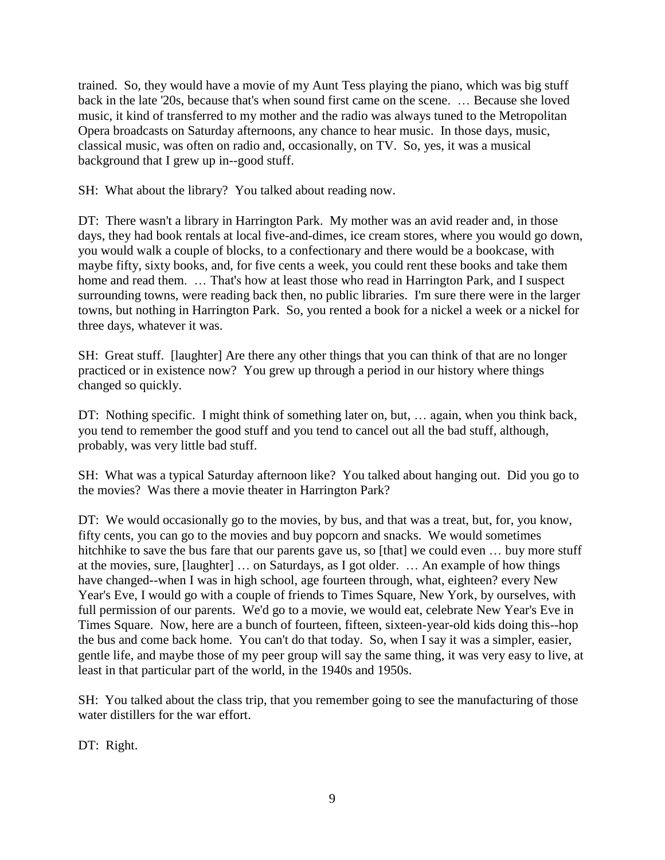trained. So, they would have a movie of my Aunt Tess playing the piano, which was big stuff back in the late '20s, because that's when sound first came on the scene. … Because she loved music, it kind of transferred to my mother and the radio was always tuned to the Metropolitan Opera broadcasts on Saturday afternoons, any chance to hear music. In those days, music, classical music, was often on radio and, occasionally, on TV. So, yes, it was a musical background that I grew up in--good stuff.

SH: What about the library? You talked about reading now.

DT: There wasn't a library in Harrington Park. My mother was an avid reader and, in those days, they had book rentals at local five-and-dimes, ice cream stores, where you would go down, you would walk a couple of blocks, to a confectionary and there would be a bookcase, with maybe fifty, sixty books, and, for five cents a week, you could rent these books and take them home and read them. ... That's how at least those who read in Harrington Park, and I suspect surrounding towns, were reading back then, no public libraries. I'm sure there were in the larger towns, but nothing in Harrington Park. So, you rented a book for a nickel a week or a nickel for three days, whatever it was.

SH: Great stuff. [laughter] Are there any other things that you can think of that are no longer practiced or in existence now? You grew up through a period in our history where things changed so quickly.

DT: Nothing specific. I might think of something later on, but, ... again, when you think back, you tend to remember the good stuff and you tend to cancel out all the bad stuff, although, probably, was very little bad stuff.

SH: What was a typical Saturday afternoon like? You talked about hanging out. Did you go to the movies? Was there a movie theater in Harrington Park?

DT: We would occasionally go to the movies, by bus, and that was a treat, but, for, you know, fifty cents, you can go to the movies and buy popcorn and snacks. We would sometimes hitchhike to save the bus fare that our parents gave us, so [that] we could even ... buy more stuff at the movies, sure, [laughter] … on Saturdays, as I got older. … An example of how things have changed--when I was in high school, age fourteen through, what, eighteen? every New Year's Eve, I would go with a couple of friends to Times Square, New York, by ourselves, with full permission of our parents. We'd go to a movie, we would eat, celebrate New Year's Eve in Times Square. Now, here are a bunch of fourteen, fifteen, sixteen-year-old kids doing this--hop the bus and come back home. You can't do that today. So, when I say it was a simpler, easier, gentle life, and maybe those of my peer group will say the same thing, it was very easy to live, at least in that particular part of the world, in the 1940s and 1950s.

SH: You talked about the class trip, that you remember going to see the manufacturing of those water distillers for the war effort.

DT: Right.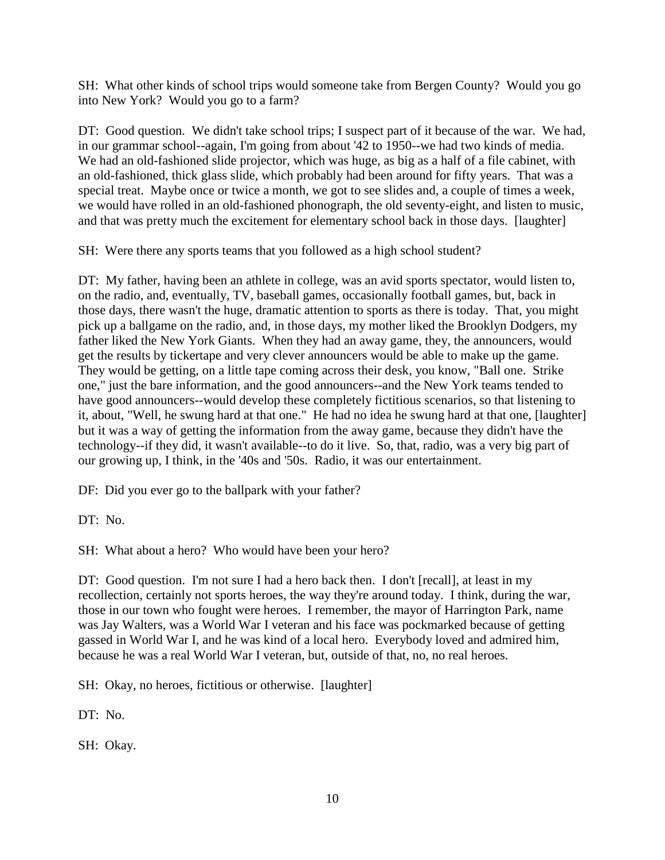SH: What other kinds of school trips would someone take from Bergen County? Would you go into New York? Would you go to a farm?

DT: Good question. We didn't take school trips; I suspect part of it because of the war. We had, in our grammar school--again, I'm going from about '42 to 1950--we had two kinds of media. We had an old-fashioned slide projector, which was huge, as big as a half of a file cabinet, with an old-fashioned, thick glass slide, which probably had been around for fifty years. That was a special treat. Maybe once or twice a month, we got to see slides and, a couple of times a week, we would have rolled in an old-fashioned phonograph, the old seventy-eight, and listen to music, and that was pretty much the excitement for elementary school back in those days. [laughter]

SH: Were there any sports teams that you followed as a high school student?

DT: My father, having been an athlete in college, was an avid sports spectator, would listen to, on the radio, and, eventually, TV, baseball games, occasionally football games, but, back in those days, there wasn't the huge, dramatic attention to sports as there is today. That, you might pick up a ballgame on the radio, and, in those days, my mother liked the Brooklyn Dodgers, my father liked the New York Giants. When they had an away game, they, the announcers, would get the results by tickertape and very clever announcers would be able to make up the game. They would be getting, on a little tape coming across their desk, you know, "Ball one. Strike one," just the bare information, and the good announcers--and the New York teams tended to have good announcers--would develop these completely fictitious scenarios, so that listening to it, about, "Well, he swung hard at that one." He had no idea he swung hard at that one, [laughter] but it was a way of getting the information from the away game, because they didn't have the technology--if they did, it wasn't available--to do it live. So, that, radio, was a very big part of our growing up, I think, in the '40s and '50s. Radio, it was our entertainment.

DF: Did you ever go to the ballpark with your father?

DT: No.

SH: What about a hero? Who would have been your hero?

DT: Good question. I'm not sure I had a hero back then. I don't [recall], at least in my recollection, certainly not sports heroes, the way they're around today. I think, during the war, those in our town who fought were heroes. I remember, the mayor of Harrington Park, name was Jay Walters, was a World War I veteran and his face was pockmarked because of getting gassed in World War I, and he was kind of a local hero. Everybody loved and admired him, because he was a real World War I veteran, but, outside of that, no, no real heroes.

SH: Okay, no heroes, fictitious or otherwise. [laughter]

DT: No.

SH: Okay.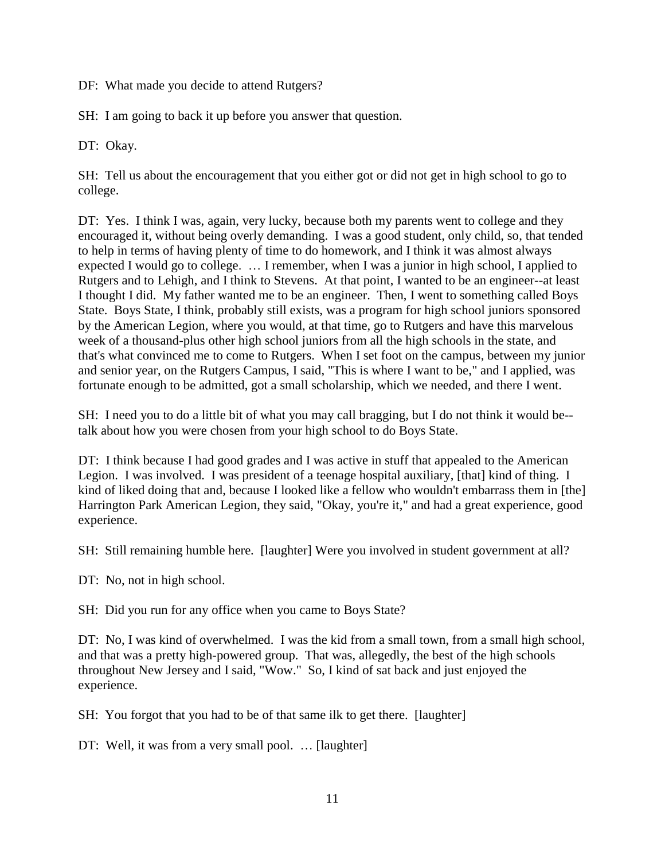DF: What made you decide to attend Rutgers?

SH: I am going to back it up before you answer that question.

DT: Okay.

SH: Tell us about the encouragement that you either got or did not get in high school to go to college.

DT: Yes. I think I was, again, very lucky, because both my parents went to college and they encouraged it, without being overly demanding. I was a good student, only child, so, that tended to help in terms of having plenty of time to do homework, and I think it was almost always expected I would go to college. … I remember, when I was a junior in high school, I applied to Rutgers and to Lehigh, and I think to Stevens. At that point, I wanted to be an engineer--at least I thought I did. My father wanted me to be an engineer. Then, I went to something called Boys State. Boys State, I think, probably still exists, was a program for high school juniors sponsored by the American Legion, where you would, at that time, go to Rutgers and have this marvelous week of a thousand-plus other high school juniors from all the high schools in the state, and that's what convinced me to come to Rutgers. When I set foot on the campus, between my junior and senior year, on the Rutgers Campus, I said, "This is where I want to be," and I applied, was fortunate enough to be admitted, got a small scholarship, which we needed, and there I went.

SH: I need you to do a little bit of what you may call bragging, but I do not think it would be- talk about how you were chosen from your high school to do Boys State.

DT: I think because I had good grades and I was active in stuff that appealed to the American Legion. I was involved. I was president of a teenage hospital auxiliary, [that] kind of thing. I kind of liked doing that and, because I looked like a fellow who wouldn't embarrass them in [the] Harrington Park American Legion, they said, "Okay, you're it," and had a great experience, good experience.

SH: Still remaining humble here. [laughter] Were you involved in student government at all?

DT: No, not in high school.

SH: Did you run for any office when you came to Boys State?

DT: No, I was kind of overwhelmed. I was the kid from a small town, from a small high school, and that was a pretty high-powered group. That was, allegedly, the best of the high schools throughout New Jersey and I said, "Wow." So, I kind of sat back and just enjoyed the experience.

SH: You forgot that you had to be of that same ilk to get there. [laughter]

DT: Well, it was from a very small pool. … [laughter]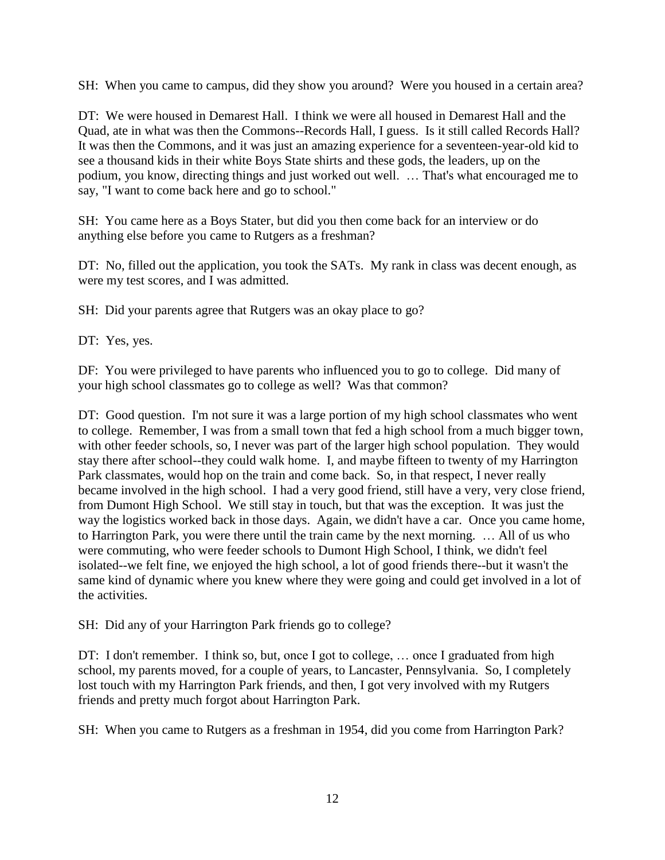SH: When you came to campus, did they show you around? Were you housed in a certain area?

DT: We were housed in Demarest Hall. I think we were all housed in Demarest Hall and the Quad, ate in what was then the Commons--Records Hall, I guess. Is it still called Records Hall? It was then the Commons, and it was just an amazing experience for a seventeen-year-old kid to see a thousand kids in their white Boys State shirts and these gods, the leaders, up on the podium, you know, directing things and just worked out well. … That's what encouraged me to say, "I want to come back here and go to school."

SH: You came here as a Boys Stater, but did you then come back for an interview or do anything else before you came to Rutgers as a freshman?

DT: No, filled out the application, you took the SATs. My rank in class was decent enough, as were my test scores, and I was admitted.

SH: Did your parents agree that Rutgers was an okay place to go?

DT: Yes, yes.

DF: You were privileged to have parents who influenced you to go to college. Did many of your high school classmates go to college as well? Was that common?

DT: Good question. I'm not sure it was a large portion of my high school classmates who went to college. Remember, I was from a small town that fed a high school from a much bigger town, with other feeder schools, so, I never was part of the larger high school population. They would stay there after school--they could walk home. I, and maybe fifteen to twenty of my Harrington Park classmates, would hop on the train and come back. So, in that respect, I never really became involved in the high school. I had a very good friend, still have a very, very close friend, from Dumont High School. We still stay in touch, but that was the exception. It was just the way the logistics worked back in those days. Again, we didn't have a car. Once you came home, to Harrington Park, you were there until the train came by the next morning. … All of us who were commuting, who were feeder schools to Dumont High School, I think, we didn't feel isolated--we felt fine, we enjoyed the high school, a lot of good friends there--but it wasn't the same kind of dynamic where you knew where they were going and could get involved in a lot of the activities.

SH: Did any of your Harrington Park friends go to college?

DT: I don't remember. I think so, but, once I got to college, ... once I graduated from high school, my parents moved, for a couple of years, to Lancaster, Pennsylvania. So, I completely lost touch with my Harrington Park friends, and then, I got very involved with my Rutgers friends and pretty much forgot about Harrington Park.

SH: When you came to Rutgers as a freshman in 1954, did you come from Harrington Park?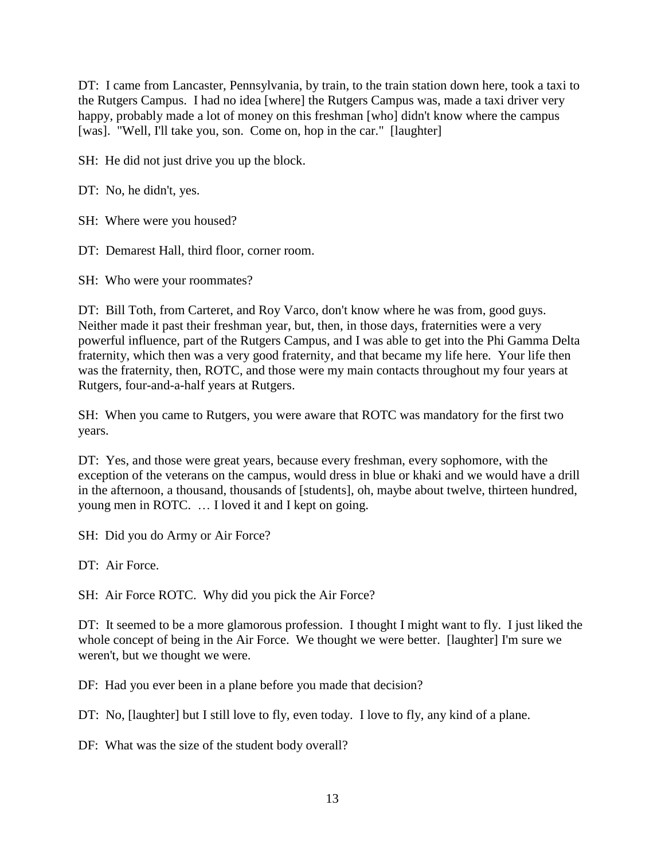DT: I came from Lancaster, Pennsylvania, by train, to the train station down here, took a taxi to the Rutgers Campus. I had no idea [where] the Rutgers Campus was, made a taxi driver very happy, probably made a lot of money on this freshman [who] didn't know where the campus [was]. "Well, I'll take you, son. Come on, hop in the car." [laughter]

SH: He did not just drive you up the block.

DT: No, he didn't, yes.

SH: Where were you housed?

DT: Demarest Hall, third floor, corner room.

SH: Who were your roommates?

DT: Bill Toth, from Carteret, and Roy Varco, don't know where he was from, good guys. Neither made it past their freshman year, but, then, in those days, fraternities were a very powerful influence, part of the Rutgers Campus, and I was able to get into the Phi Gamma Delta fraternity, which then was a very good fraternity, and that became my life here. Your life then was the fraternity, then, ROTC, and those were my main contacts throughout my four years at Rutgers, four-and-a-half years at Rutgers.

SH: When you came to Rutgers, you were aware that ROTC was mandatory for the first two years.

DT: Yes, and those were great years, because every freshman, every sophomore, with the exception of the veterans on the campus, would dress in blue or khaki and we would have a drill in the afternoon, a thousand, thousands of [students], oh, maybe about twelve, thirteen hundred, young men in ROTC. … I loved it and I kept on going.

SH: Did you do Army or Air Force?

DT: Air Force.

SH: Air Force ROTC. Why did you pick the Air Force?

DT: It seemed to be a more glamorous profession. I thought I might want to fly. I just liked the whole concept of being in the Air Force. We thought we were better. [laughter] I'm sure we weren't, but we thought we were.

DF: Had you ever been in a plane before you made that decision?

DT: No, [laughter] but I still love to fly, even today. I love to fly, any kind of a plane.

DF: What was the size of the student body overall?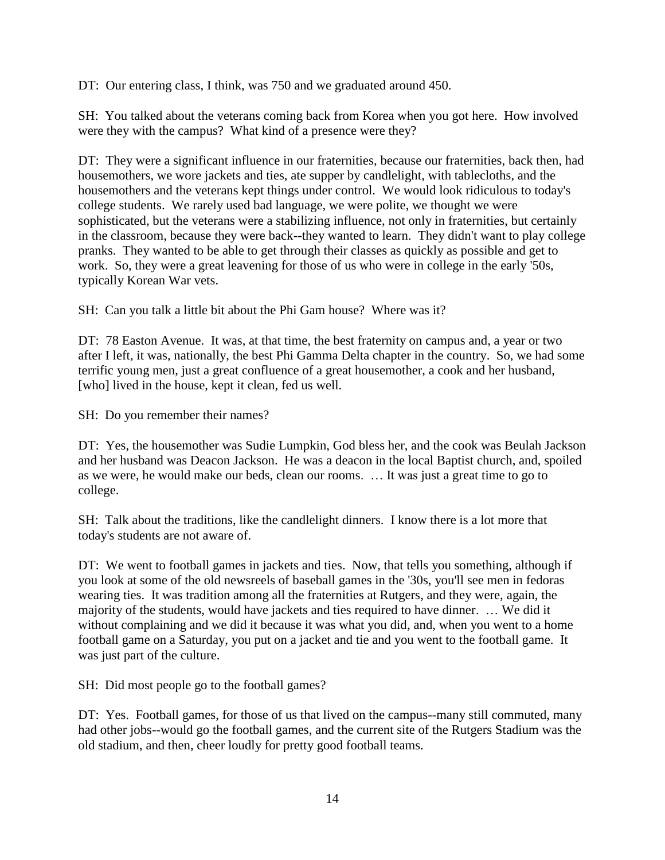DT: Our entering class, I think, was 750 and we graduated around 450.

SH: You talked about the veterans coming back from Korea when you got here. How involved were they with the campus? What kind of a presence were they?

DT: They were a significant influence in our fraternities, because our fraternities, back then, had housemothers, we wore jackets and ties, ate supper by candlelight, with tablecloths, and the housemothers and the veterans kept things under control. We would look ridiculous to today's college students. We rarely used bad language, we were polite, we thought we were sophisticated, but the veterans were a stabilizing influence, not only in fraternities, but certainly in the classroom, because they were back--they wanted to learn. They didn't want to play college pranks. They wanted to be able to get through their classes as quickly as possible and get to work. So, they were a great leavening for those of us who were in college in the early '50s, typically Korean War vets.

SH: Can you talk a little bit about the Phi Gam house? Where was it?

DT: 78 Easton Avenue. It was, at that time, the best fraternity on campus and, a year or two after I left, it was, nationally, the best Phi Gamma Delta chapter in the country. So, we had some terrific young men, just a great confluence of a great housemother, a cook and her husband, [who] lived in the house, kept it clean, fed us well.

SH: Do you remember their names?

DT: Yes, the housemother was Sudie Lumpkin, God bless her, and the cook was Beulah Jackson and her husband was Deacon Jackson. He was a deacon in the local Baptist church, and, spoiled as we were, he would make our beds, clean our rooms. … It was just a great time to go to college.

SH: Talk about the traditions, like the candlelight dinners. I know there is a lot more that today's students are not aware of.

DT: We went to football games in jackets and ties. Now, that tells you something, although if you look at some of the old newsreels of baseball games in the '30s, you'll see men in fedoras wearing ties. It was tradition among all the fraternities at Rutgers, and they were, again, the majority of the students, would have jackets and ties required to have dinner. … We did it without complaining and we did it because it was what you did, and, when you went to a home football game on a Saturday, you put on a jacket and tie and you went to the football game. It was just part of the culture.

SH: Did most people go to the football games?

DT: Yes. Football games, for those of us that lived on the campus--many still commuted, many had other jobs--would go the football games, and the current site of the Rutgers Stadium was the old stadium, and then, cheer loudly for pretty good football teams.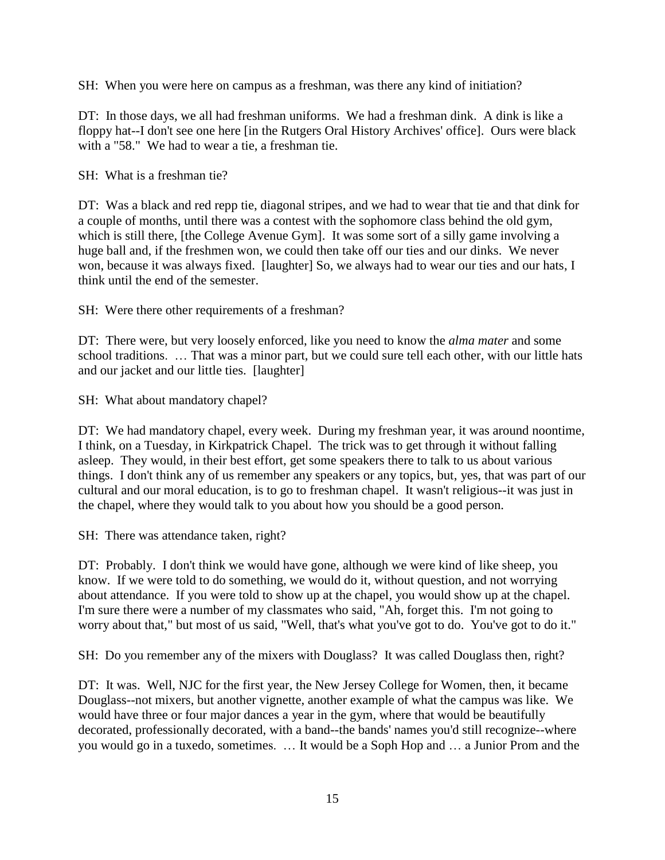SH: When you were here on campus as a freshman, was there any kind of initiation?

DT: In those days, we all had freshman uniforms. We had a freshman dink. A dink is like a floppy hat--I don't see one here [in the Rutgers Oral History Archives' office]. Ours were black with a "58." We had to wear a tie, a freshman tie.

SH: What is a freshman tie?

DT: Was a black and red repp tie, diagonal stripes, and we had to wear that tie and that dink for a couple of months, until there was a contest with the sophomore class behind the old gym, which is still there, [the College Avenue Gym]. It was some sort of a silly game involving a huge ball and, if the freshmen won, we could then take off our ties and our dinks. We never won, because it was always fixed. [laughter] So, we always had to wear our ties and our hats, I think until the end of the semester.

SH: Were there other requirements of a freshman?

DT: There were, but very loosely enforced, like you need to know the *alma mater* and some school traditions. … That was a minor part, but we could sure tell each other, with our little hats and our jacket and our little ties. [laughter]

SH: What about mandatory chapel?

DT: We had mandatory chapel, every week. During my freshman year, it was around noontime, I think, on a Tuesday, in Kirkpatrick Chapel. The trick was to get through it without falling asleep. They would, in their best effort, get some speakers there to talk to us about various things. I don't think any of us remember any speakers or any topics, but, yes, that was part of our cultural and our moral education, is to go to freshman chapel. It wasn't religious--it was just in the chapel, where they would talk to you about how you should be a good person.

SH: There was attendance taken, right?

DT: Probably. I don't think we would have gone, although we were kind of like sheep, you know. If we were told to do something, we would do it, without question, and not worrying about attendance. If you were told to show up at the chapel, you would show up at the chapel. I'm sure there were a number of my classmates who said, "Ah, forget this. I'm not going to worry about that," but most of us said, "Well, that's what you've got to do. You've got to do it."

SH: Do you remember any of the mixers with Douglass? It was called Douglass then, right?

DT: It was. Well, NJC for the first year, the New Jersey College for Women, then, it became Douglass--not mixers, but another vignette, another example of what the campus was like. We would have three or four major dances a year in the gym, where that would be beautifully decorated, professionally decorated, with a band--the bands' names you'd still recognize--where you would go in a tuxedo, sometimes. … It would be a Soph Hop and … a Junior Prom and the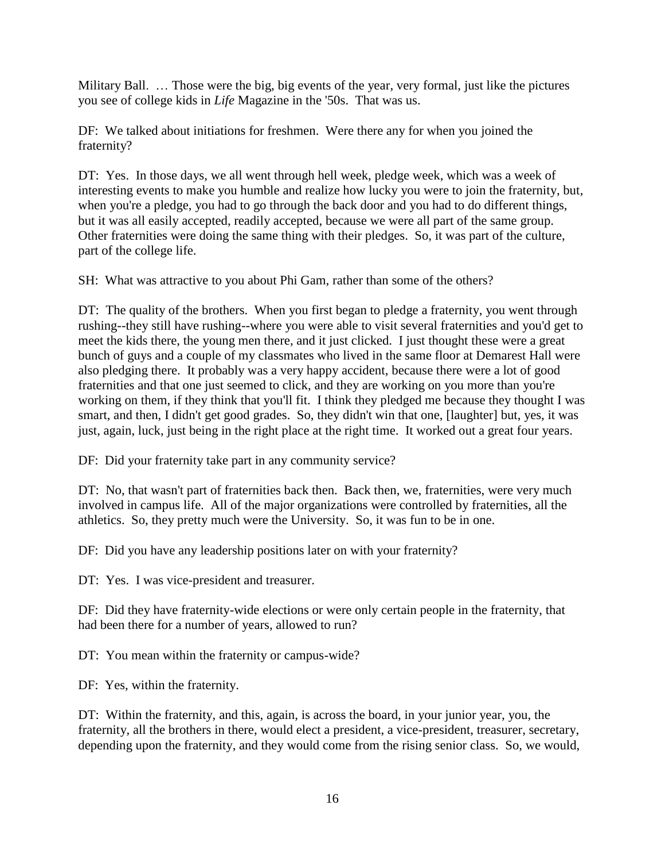Military Ball. … Those were the big, big events of the year, very formal, just like the pictures you see of college kids in *Life* Magazine in the '50s. That was us.

DF: We talked about initiations for freshmen. Were there any for when you joined the fraternity?

DT: Yes. In those days, we all went through hell week, pledge week, which was a week of interesting events to make you humble and realize how lucky you were to join the fraternity, but, when you're a pledge, you had to go through the back door and you had to do different things, but it was all easily accepted, readily accepted, because we were all part of the same group. Other fraternities were doing the same thing with their pledges. So, it was part of the culture, part of the college life.

SH: What was attractive to you about Phi Gam, rather than some of the others?

DT: The quality of the brothers. When you first began to pledge a fraternity, you went through rushing--they still have rushing--where you were able to visit several fraternities and you'd get to meet the kids there, the young men there, and it just clicked. I just thought these were a great bunch of guys and a couple of my classmates who lived in the same floor at Demarest Hall were also pledging there. It probably was a very happy accident, because there were a lot of good fraternities and that one just seemed to click, and they are working on you more than you're working on them, if they think that you'll fit. I think they pledged me because they thought I was smart, and then, I didn't get good grades. So, they didn't win that one, [laughter] but, yes, it was just, again, luck, just being in the right place at the right time. It worked out a great four years.

DF: Did your fraternity take part in any community service?

DT: No, that wasn't part of fraternities back then. Back then, we, fraternities, were very much involved in campus life. All of the major organizations were controlled by fraternities, all the athletics. So, they pretty much were the University. So, it was fun to be in one.

DF: Did you have any leadership positions later on with your fraternity?

DT: Yes. I was vice-president and treasurer.

DF: Did they have fraternity-wide elections or were only certain people in the fraternity, that had been there for a number of years, allowed to run?

DT: You mean within the fraternity or campus-wide?

DF: Yes, within the fraternity.

DT: Within the fraternity, and this, again, is across the board, in your junior year, you, the fraternity, all the brothers in there, would elect a president, a vice-president, treasurer, secretary, depending upon the fraternity, and they would come from the rising senior class. So, we would,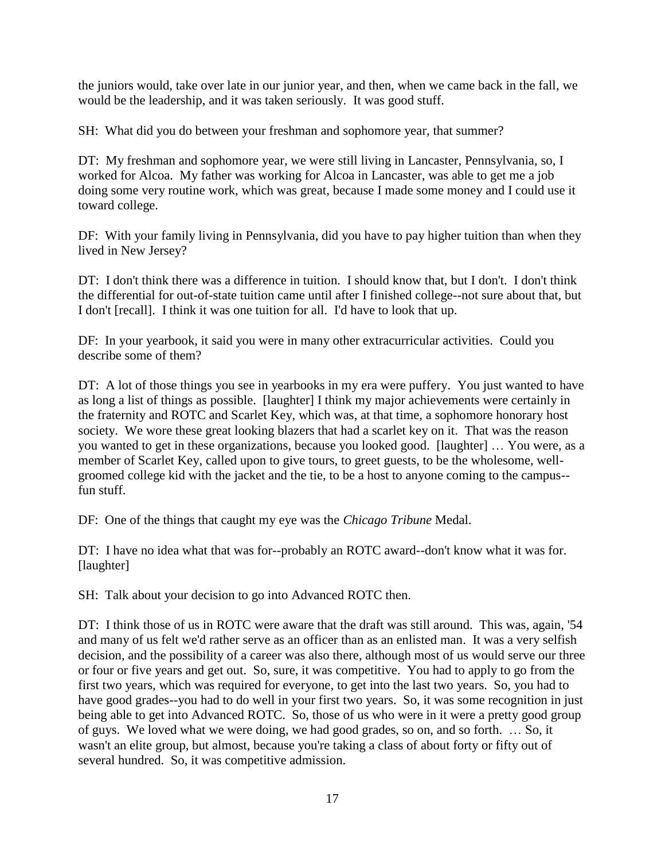the juniors would, take over late in our junior year, and then, when we came back in the fall, we would be the leadership, and it was taken seriously. It was good stuff.

SH: What did you do between your freshman and sophomore year, that summer?

DT: My freshman and sophomore year, we were still living in Lancaster, Pennsylvania, so, I worked for Alcoa. My father was working for Alcoa in Lancaster, was able to get me a job doing some very routine work, which was great, because I made some money and I could use it toward college.

DF: With your family living in Pennsylvania, did you have to pay higher tuition than when they lived in New Jersey?

DT: I don't think there was a difference in tuition. I should know that, but I don't. I don't think the differential for out-of-state tuition came until after I finished college--not sure about that, but I don't [recall]. I think it was one tuition for all. I'd have to look that up.

DF: In your yearbook, it said you were in many other extracurricular activities. Could you describe some of them?

DT: A lot of those things you see in yearbooks in my era were puffery. You just wanted to have as long a list of things as possible. [laughter] I think my major achievements were certainly in the fraternity and ROTC and Scarlet Key, which was, at that time, a sophomore honorary host society. We wore these great looking blazers that had a scarlet key on it. That was the reason you wanted to get in these organizations, because you looked good. [laughter] … You were, as a member of Scarlet Key, called upon to give tours, to greet guests, to be the wholesome, wellgroomed college kid with the jacket and the tie, to be a host to anyone coming to the campus- fun stuff.

DF: One of the things that caught my eye was the *Chicago Tribune* Medal.

DT: I have no idea what that was for--probably an ROTC award--don't know what it was for. [laughter]

SH: Talk about your decision to go into Advanced ROTC then.

DT: I think those of us in ROTC were aware that the draft was still around. This was, again, '54 and many of us felt we'd rather serve as an officer than as an enlisted man. It was a very selfish decision, and the possibility of a career was also there, although most of us would serve our three or four or five years and get out. So, sure, it was competitive. You had to apply to go from the first two years, which was required for everyone, to get into the last two years. So, you had to have good grades--you had to do well in your first two years. So, it was some recognition in just being able to get into Advanced ROTC. So, those of us who were in it were a pretty good group of guys. We loved what we were doing, we had good grades, so on, and so forth. … So, it wasn't an elite group, but almost, because you're taking a class of about forty or fifty out of several hundred. So, it was competitive admission.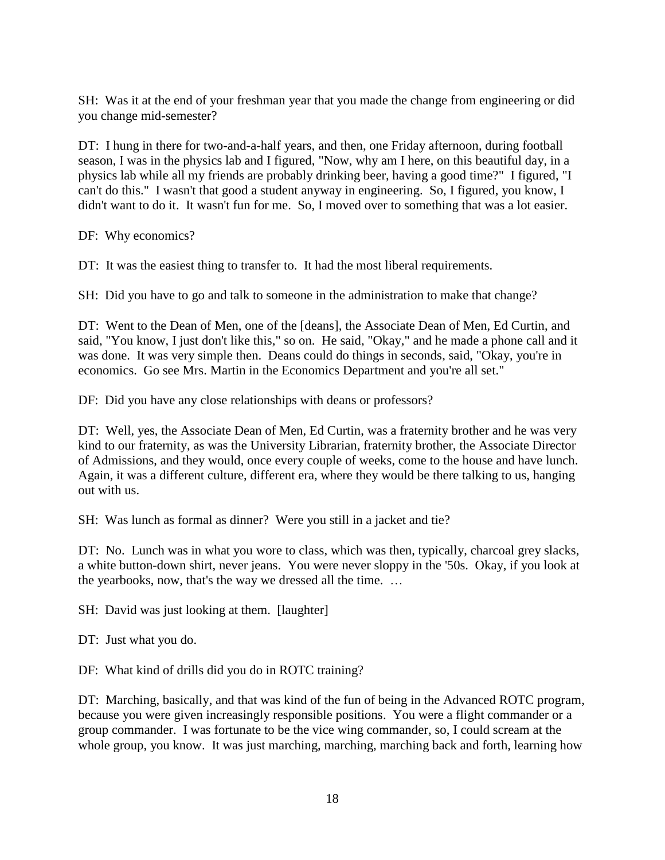SH: Was it at the end of your freshman year that you made the change from engineering or did you change mid-semester?

DT: I hung in there for two-and-a-half years, and then, one Friday afternoon, during football season, I was in the physics lab and I figured, "Now, why am I here, on this beautiful day, in a physics lab while all my friends are probably drinking beer, having a good time?" I figured, "I can't do this." I wasn't that good a student anyway in engineering. So, I figured, you know, I didn't want to do it. It wasn't fun for me. So, I moved over to something that was a lot easier.

DF: Why economics?

DT: It was the easiest thing to transfer to. It had the most liberal requirements.

SH: Did you have to go and talk to someone in the administration to make that change?

DT: Went to the Dean of Men, one of the [deans], the Associate Dean of Men, Ed Curtin, and said, "You know, I just don't like this," so on. He said, "Okay," and he made a phone call and it was done. It was very simple then. Deans could do things in seconds, said, "Okay, you're in economics. Go see Mrs. Martin in the Economics Department and you're all set."

DF: Did you have any close relationships with deans or professors?

DT: Well, yes, the Associate Dean of Men, Ed Curtin, was a fraternity brother and he was very kind to our fraternity, as was the University Librarian, fraternity brother, the Associate Director of Admissions, and they would, once every couple of weeks, come to the house and have lunch. Again, it was a different culture, different era, where they would be there talking to us, hanging out with us.

SH: Was lunch as formal as dinner? Were you still in a jacket and tie?

DT: No. Lunch was in what you wore to class, which was then, typically, charcoal grey slacks, a white button-down shirt, never jeans. You were never sloppy in the '50s. Okay, if you look at the yearbooks, now, that's the way we dressed all the time. …

SH: David was just looking at them. [laughter]

DT: Just what you do.

DF: What kind of drills did you do in ROTC training?

DT: Marching, basically, and that was kind of the fun of being in the Advanced ROTC program, because you were given increasingly responsible positions. You were a flight commander or a group commander. I was fortunate to be the vice wing commander, so, I could scream at the whole group, you know. It was just marching, marching, marching back and forth, learning how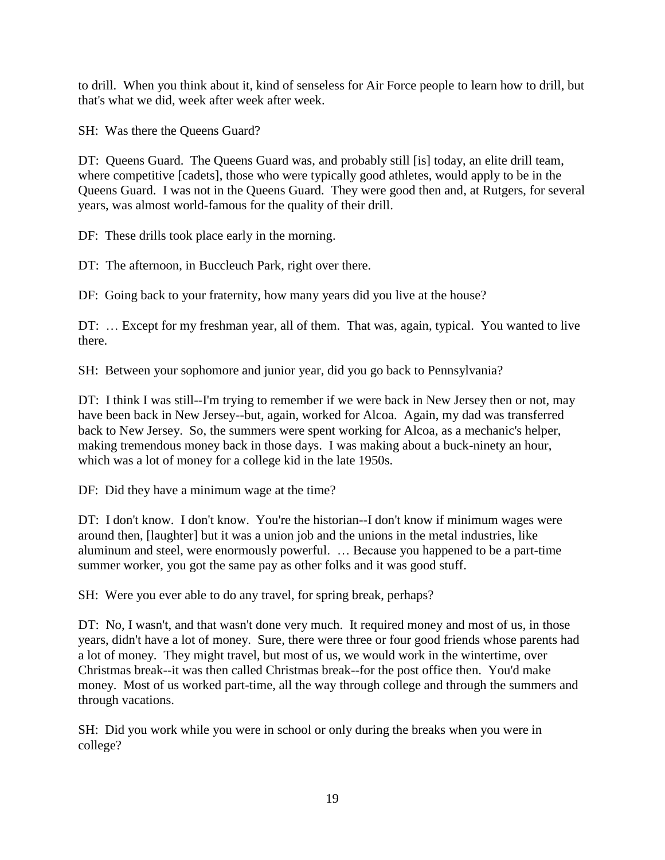to drill. When you think about it, kind of senseless for Air Force people to learn how to drill, but that's what we did, week after week after week.

SH: Was there the Queens Guard?

DT: Queens Guard. The Queens Guard was, and probably still [is] today, an elite drill team, where competitive [cadets], those who were typically good athletes, would apply to be in the Queens Guard. I was not in the Queens Guard. They were good then and, at Rutgers, for several years, was almost world-famous for the quality of their drill.

DF: These drills took place early in the morning.

DT: The afternoon, in Buccleuch Park, right over there.

DF: Going back to your fraternity, how many years did you live at the house?

DT: … Except for my freshman year, all of them. That was, again, typical. You wanted to live there.

SH: Between your sophomore and junior year, did you go back to Pennsylvania?

DT: I think I was still--I'm trying to remember if we were back in New Jersey then or not, may have been back in New Jersey--but, again, worked for Alcoa. Again, my dad was transferred back to New Jersey. So, the summers were spent working for Alcoa, as a mechanic's helper, making tremendous money back in those days. I was making about a buck-ninety an hour, which was a lot of money for a college kid in the late 1950s.

DF: Did they have a minimum wage at the time?

DT: I don't know. I don't know. You're the historian--I don't know if minimum wages were around then, [laughter] but it was a union job and the unions in the metal industries, like aluminum and steel, were enormously powerful. … Because you happened to be a part-time summer worker, you got the same pay as other folks and it was good stuff.

SH: Were you ever able to do any travel, for spring break, perhaps?

DT: No, I wasn't, and that wasn't done very much. It required money and most of us, in those years, didn't have a lot of money. Sure, there were three or four good friends whose parents had a lot of money. They might travel, but most of us, we would work in the wintertime, over Christmas break--it was then called Christmas break--for the post office then. You'd make money. Most of us worked part-time, all the way through college and through the summers and through vacations.

SH: Did you work while you were in school or only during the breaks when you were in college?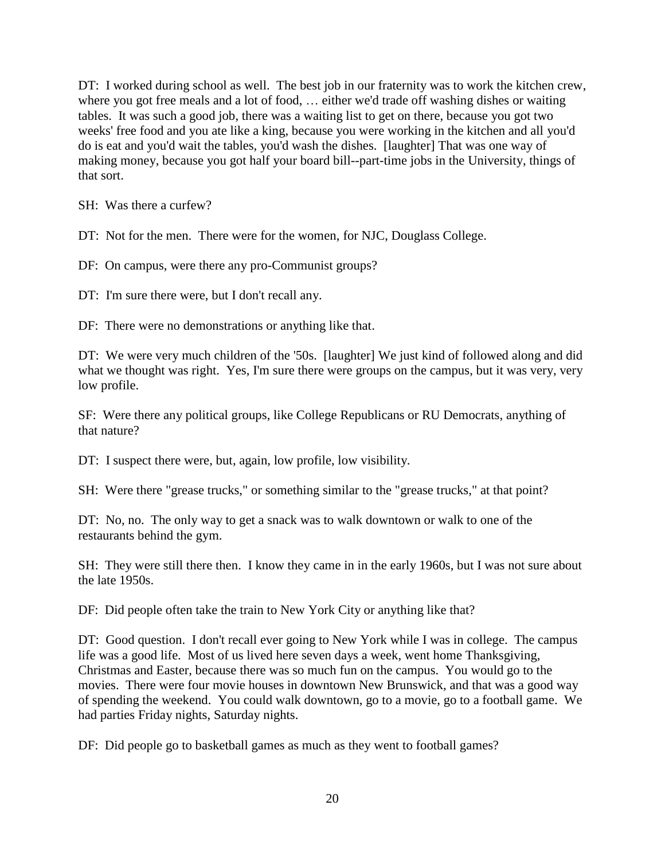DT: I worked during school as well. The best job in our fraternity was to work the kitchen crew, where you got free meals and a lot of food, … either we'd trade off washing dishes or waiting tables. It was such a good job, there was a waiting list to get on there, because you got two weeks' free food and you ate like a king, because you were working in the kitchen and all you'd do is eat and you'd wait the tables, you'd wash the dishes. [laughter] That was one way of making money, because you got half your board bill--part-time jobs in the University, things of that sort.

SH: Was there a curfew?

DT: Not for the men. There were for the women, for NJC, Douglass College.

DF: On campus, were there any pro-Communist groups?

DT: I'm sure there were, but I don't recall any.

DF: There were no demonstrations or anything like that.

DT: We were very much children of the '50s. [laughter] We just kind of followed along and did what we thought was right. Yes, I'm sure there were groups on the campus, but it was very, very low profile.

SF: Were there any political groups, like College Republicans or RU Democrats, anything of that nature?

DT: I suspect there were, but, again, low profile, low visibility.

SH: Were there "grease trucks," or something similar to the "grease trucks," at that point?

DT: No, no. The only way to get a snack was to walk downtown or walk to one of the restaurants behind the gym.

SH: They were still there then. I know they came in in the early 1960s, but I was not sure about the late 1950s.

DF: Did people often take the train to New York City or anything like that?

DT: Good question. I don't recall ever going to New York while I was in college. The campus life was a good life. Most of us lived here seven days a week, went home Thanksgiving, Christmas and Easter, because there was so much fun on the campus. You would go to the movies. There were four movie houses in downtown New Brunswick, and that was a good way of spending the weekend. You could walk downtown, go to a movie, go to a football game. We had parties Friday nights, Saturday nights.

DF: Did people go to basketball games as much as they went to football games?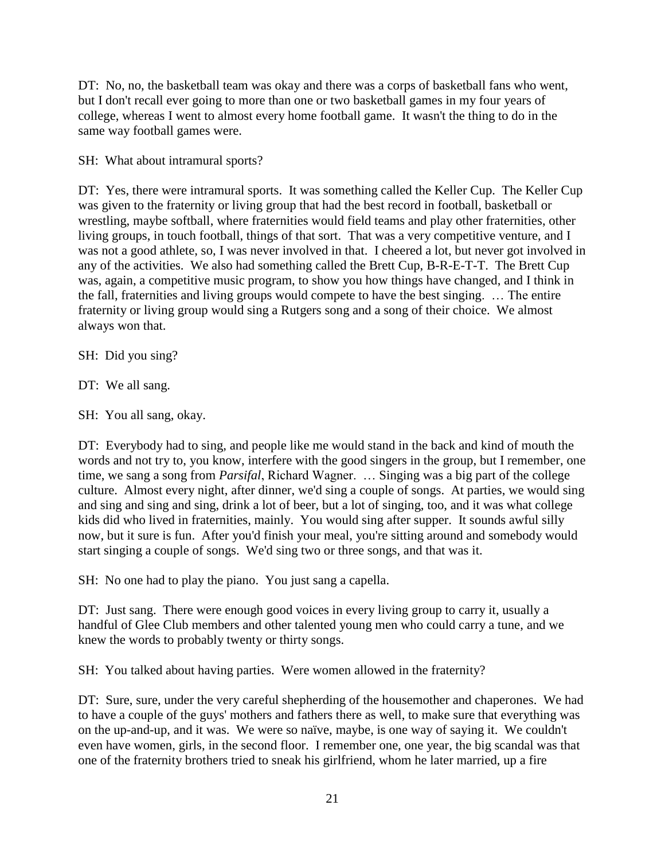DT: No, no, the basketball team was okay and there was a corps of basketball fans who went, but I don't recall ever going to more than one or two basketball games in my four years of college, whereas I went to almost every home football game. It wasn't the thing to do in the same way football games were.

SH: What about intramural sports?

DT: Yes, there were intramural sports. It was something called the Keller Cup. The Keller Cup was given to the fraternity or living group that had the best record in football, basketball or wrestling, maybe softball, where fraternities would field teams and play other fraternities, other living groups, in touch football, things of that sort. That was a very competitive venture, and I was not a good athlete, so, I was never involved in that. I cheered a lot, but never got involved in any of the activities. We also had something called the Brett Cup, B-R-E-T-T. The Brett Cup was, again, a competitive music program, to show you how things have changed, and I think in the fall, fraternities and living groups would compete to have the best singing. … The entire fraternity or living group would sing a Rutgers song and a song of their choice. We almost always won that.

SH: Did you sing?

DT: We all sang.

SH: You all sang, okay.

DT: Everybody had to sing, and people like me would stand in the back and kind of mouth the words and not try to, you know, interfere with the good singers in the group, but I remember, one time, we sang a song from *Parsifal*, Richard Wagner. … Singing was a big part of the college culture. Almost every night, after dinner, we'd sing a couple of songs. At parties, we would sing and sing and sing and sing, drink a lot of beer, but a lot of singing, too, and it was what college kids did who lived in fraternities, mainly. You would sing after supper. It sounds awful silly now, but it sure is fun. After you'd finish your meal, you're sitting around and somebody would start singing a couple of songs. We'd sing two or three songs, and that was it.

SH: No one had to play the piano. You just sang a capella.

DT: Just sang. There were enough good voices in every living group to carry it, usually a handful of Glee Club members and other talented young men who could carry a tune, and we knew the words to probably twenty or thirty songs.

SH: You talked about having parties. Were women allowed in the fraternity?

DT: Sure, sure, under the very careful shepherding of the housemother and chaperones. We had to have a couple of the guys' mothers and fathers there as well, to make sure that everything was on the up-and-up, and it was. We were so naïve, maybe, is one way of saying it. We couldn't even have women, girls, in the second floor. I remember one, one year, the big scandal was that one of the fraternity brothers tried to sneak his girlfriend, whom he later married, up a fire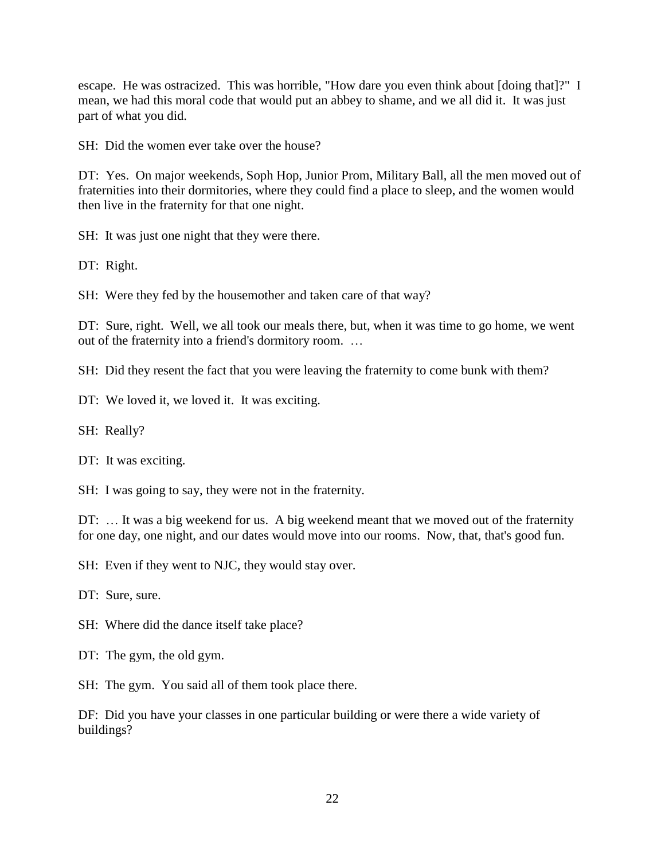escape. He was ostracized. This was horrible, "How dare you even think about [doing that]?" I mean, we had this moral code that would put an abbey to shame, and we all did it. It was just part of what you did.

SH: Did the women ever take over the house?

DT: Yes. On major weekends, Soph Hop, Junior Prom, Military Ball, all the men moved out of fraternities into their dormitories, where they could find a place to sleep, and the women would then live in the fraternity for that one night.

SH: It was just one night that they were there.

DT: Right.

SH: Were they fed by the housemother and taken care of that way?

DT: Sure, right. Well, we all took our meals there, but, when it was time to go home, we went out of the fraternity into a friend's dormitory room. …

SH: Did they resent the fact that you were leaving the fraternity to come bunk with them?

DT: We loved it, we loved it. It was exciting.

SH: Really?

DT: It was exciting.

SH: I was going to say, they were not in the fraternity.

DT: ... It was a big weekend for us. A big weekend meant that we moved out of the fraternity for one day, one night, and our dates would move into our rooms. Now, that, that's good fun.

SH: Even if they went to NJC, they would stay over.

DT: Sure, sure.

SH: Where did the dance itself take place?

DT: The gym, the old gym.

SH: The gym. You said all of them took place there.

DF: Did you have your classes in one particular building or were there a wide variety of buildings?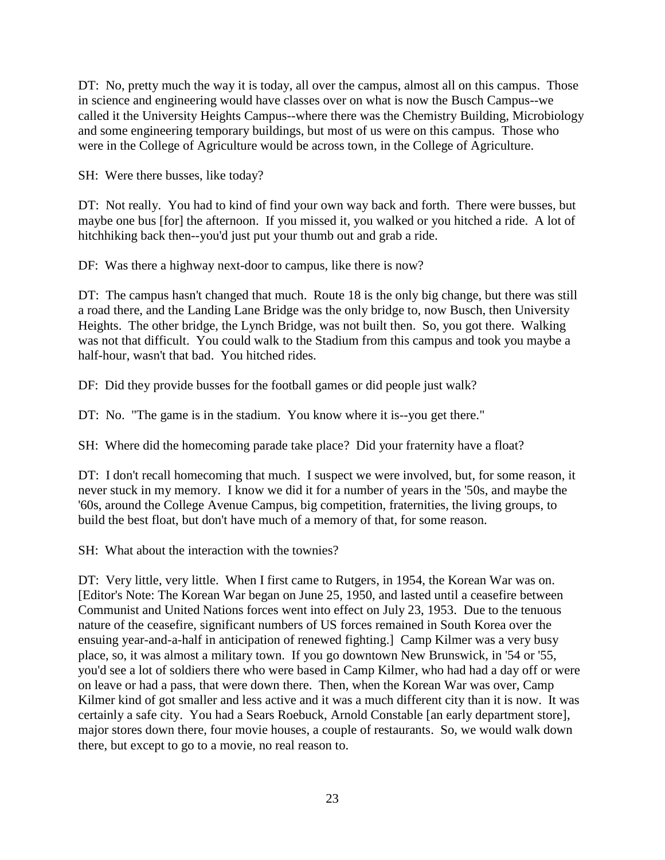DT: No, pretty much the way it is today, all over the campus, almost all on this campus. Those in science and engineering would have classes over on what is now the Busch Campus--we called it the University Heights Campus--where there was the Chemistry Building, Microbiology and some engineering temporary buildings, but most of us were on this campus. Those who were in the College of Agriculture would be across town, in the College of Agriculture.

SH: Were there busses, like today?

DT: Not really. You had to kind of find your own way back and forth. There were busses, but maybe one bus [for] the afternoon. If you missed it, you walked or you hitched a ride. A lot of hitchhiking back then--you'd just put your thumb out and grab a ride.

DF: Was there a highway next-door to campus, like there is now?

DT: The campus hasn't changed that much. Route 18 is the only big change, but there was still a road there, and the Landing Lane Bridge was the only bridge to, now Busch, then University Heights. The other bridge, the Lynch Bridge, was not built then. So, you got there. Walking was not that difficult. You could walk to the Stadium from this campus and took you maybe a half-hour, wasn't that bad. You hitched rides.

DF: Did they provide busses for the football games or did people just walk?

DT: No. "The game is in the stadium. You know where it is--you get there."

SH: Where did the homecoming parade take place? Did your fraternity have a float?

DT: I don't recall homecoming that much. I suspect we were involved, but, for some reason, it never stuck in my memory. I know we did it for a number of years in the '50s, and maybe the '60s, around the College Avenue Campus, big competition, fraternities, the living groups, to build the best float, but don't have much of a memory of that, for some reason.

SH: What about the interaction with the townies?

DT: Very little, very little. When I first came to Rutgers, in 1954, the Korean War was on. [Editor's Note: The Korean War began on June 25, 1950, and lasted until a ceasefire between Communist and United Nations forces went into effect on July 23, 1953. Due to the tenuous nature of the ceasefire, significant numbers of US forces remained in South Korea over the ensuing year-and-a-half in anticipation of renewed fighting.] Camp Kilmer was a very busy place, so, it was almost a military town. If you go downtown New Brunswick, in '54 or '55, you'd see a lot of soldiers there who were based in Camp Kilmer, who had had a day off or were on leave or had a pass, that were down there. Then, when the Korean War was over, Camp Kilmer kind of got smaller and less active and it was a much different city than it is now. It was certainly a safe city. You had a Sears Roebuck, Arnold Constable [an early department store], major stores down there, four movie houses, a couple of restaurants. So, we would walk down there, but except to go to a movie, no real reason to.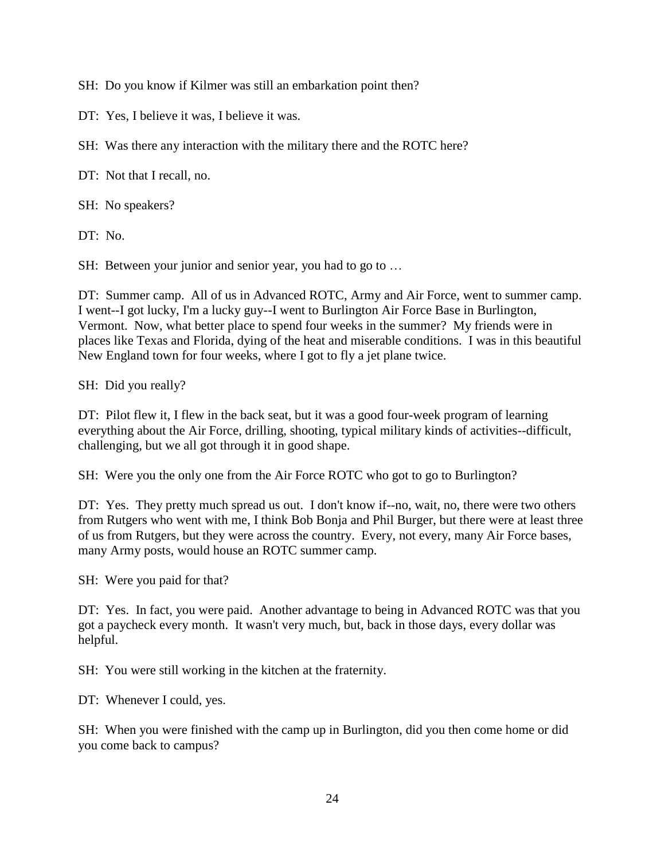SH: Do you know if Kilmer was still an embarkation point then?

DT: Yes, I believe it was, I believe it was.

SH: Was there any interaction with the military there and the ROTC here?

DT: Not that I recall, no.

SH: No speakers?

DT: No.

SH: Between your junior and senior year, you had to go to …

DT: Summer camp. All of us in Advanced ROTC, Army and Air Force, went to summer camp. I went--I got lucky, I'm a lucky guy--I went to Burlington Air Force Base in Burlington, Vermont. Now, what better place to spend four weeks in the summer? My friends were in places like Texas and Florida, dying of the heat and miserable conditions. I was in this beautiful New England town for four weeks, where I got to fly a jet plane twice.

SH: Did you really?

DT: Pilot flew it, I flew in the back seat, but it was a good four-week program of learning everything about the Air Force, drilling, shooting, typical military kinds of activities--difficult, challenging, but we all got through it in good shape.

SH: Were you the only one from the Air Force ROTC who got to go to Burlington?

DT: Yes. They pretty much spread us out. I don't know if--no, wait, no, there were two others from Rutgers who went with me, I think Bob Bonja and Phil Burger, but there were at least three of us from Rutgers, but they were across the country. Every, not every, many Air Force bases, many Army posts, would house an ROTC summer camp.

SH: Were you paid for that?

DT: Yes. In fact, you were paid. Another advantage to being in Advanced ROTC was that you got a paycheck every month. It wasn't very much, but, back in those days, every dollar was helpful.

SH: You were still working in the kitchen at the fraternity.

DT: Whenever I could, yes.

SH: When you were finished with the camp up in Burlington, did you then come home or did you come back to campus?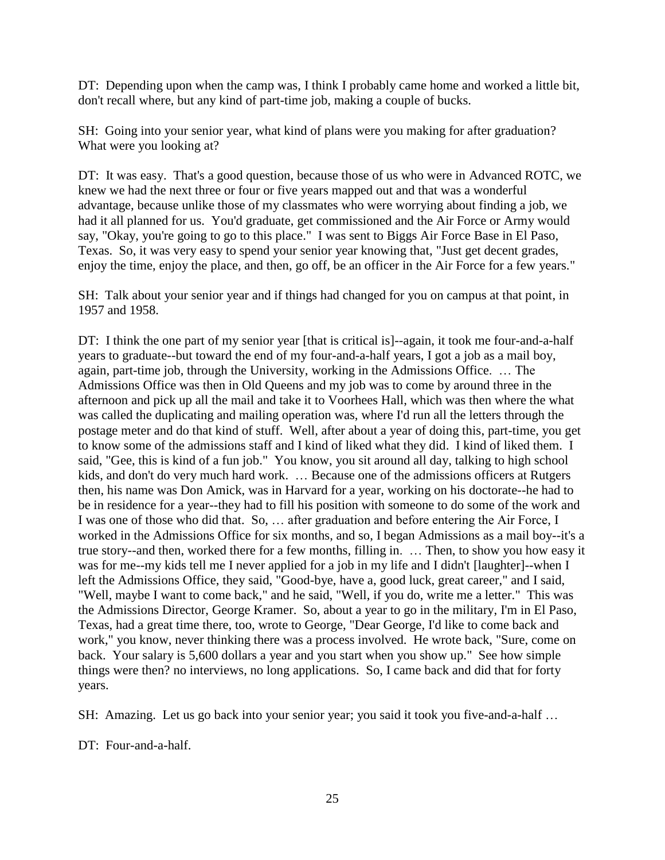DT: Depending upon when the camp was, I think I probably came home and worked a little bit, don't recall where, but any kind of part-time job, making a couple of bucks.

SH: Going into your senior year, what kind of plans were you making for after graduation? What were you looking at?

DT: It was easy. That's a good question, because those of us who were in Advanced ROTC, we knew we had the next three or four or five years mapped out and that was a wonderful advantage, because unlike those of my classmates who were worrying about finding a job, we had it all planned for us. You'd graduate, get commissioned and the Air Force or Army would say, "Okay, you're going to go to this place." I was sent to Biggs Air Force Base in El Paso, Texas. So, it was very easy to spend your senior year knowing that, "Just get decent grades, enjoy the time, enjoy the place, and then, go off, be an officer in the Air Force for a few years."

SH: Talk about your senior year and if things had changed for you on campus at that point, in 1957 and 1958.

DT: I think the one part of my senior year [that is critical is]--again, it took me four-and-a-half years to graduate--but toward the end of my four-and-a-half years, I got a job as a mail boy, again, part-time job, through the University, working in the Admissions Office. … The Admissions Office was then in Old Queens and my job was to come by around three in the afternoon and pick up all the mail and take it to Voorhees Hall, which was then where the what was called the duplicating and mailing operation was, where I'd run all the letters through the postage meter and do that kind of stuff. Well, after about a year of doing this, part-time, you get to know some of the admissions staff and I kind of liked what they did. I kind of liked them. I said, "Gee, this is kind of a fun job." You know, you sit around all day, talking to high school kids, and don't do very much hard work. … Because one of the admissions officers at Rutgers then, his name was Don Amick, was in Harvard for a year, working on his doctorate--he had to be in residence for a year--they had to fill his position with someone to do some of the work and I was one of those who did that. So, … after graduation and before entering the Air Force, I worked in the Admissions Office for six months, and so, I began Admissions as a mail boy--it's a true story--and then, worked there for a few months, filling in. … Then, to show you how easy it was for me--my kids tell me I never applied for a job in my life and I didn't [laughter]--when I left the Admissions Office, they said, "Good-bye, have a, good luck, great career," and I said, "Well, maybe I want to come back," and he said, "Well, if you do, write me a letter." This was the Admissions Director, George Kramer. So, about a year to go in the military, I'm in El Paso, Texas, had a great time there, too, wrote to George, "Dear George, I'd like to come back and work," you know, never thinking there was a process involved. He wrote back, "Sure, come on back. Your salary is 5,600 dollars a year and you start when you show up." See how simple things were then? no interviews, no long applications. So, I came back and did that for forty years.

SH: Amazing. Let us go back into your senior year; you said it took you five-and-a-half …

DT: Four-and-a-half.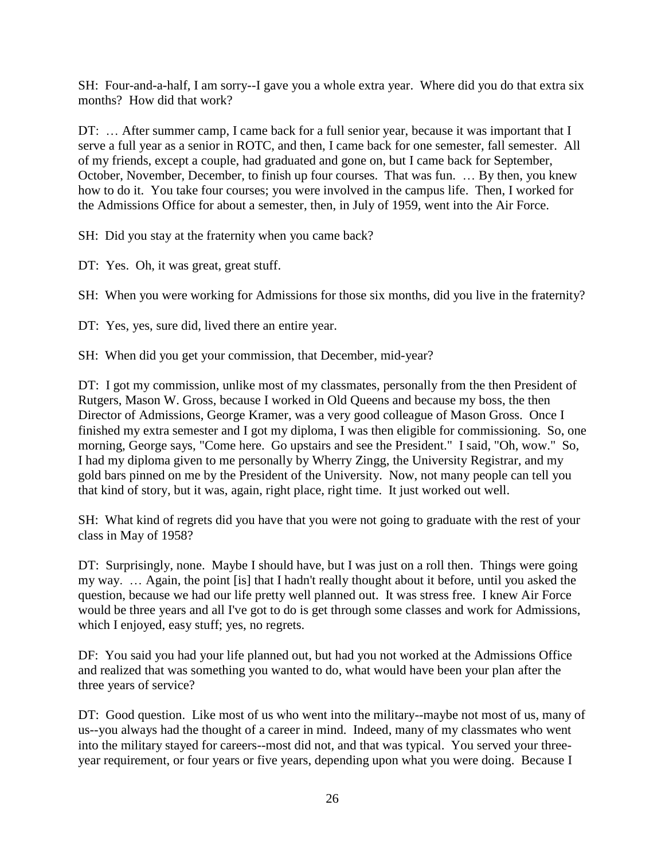SH: Four-and-a-half, I am sorry--I gave you a whole extra year. Where did you do that extra six months? How did that work?

DT: ... After summer camp, I came back for a full senior year, because it was important that I serve a full year as a senior in ROTC, and then, I came back for one semester, fall semester. All of my friends, except a couple, had graduated and gone on, but I came back for September, October, November, December, to finish up four courses. That was fun. … By then, you knew how to do it. You take four courses; you were involved in the campus life. Then, I worked for the Admissions Office for about a semester, then, in July of 1959, went into the Air Force.

SH: Did you stay at the fraternity when you came back?

DT: Yes. Oh, it was great, great stuff.

SH: When you were working for Admissions for those six months, did you live in the fraternity?

DT: Yes, yes, sure did, lived there an entire year.

SH: When did you get your commission, that December, mid-year?

DT: I got my commission, unlike most of my classmates, personally from the then President of Rutgers, Mason W. Gross, because I worked in Old Queens and because my boss, the then Director of Admissions, George Kramer, was a very good colleague of Mason Gross. Once I finished my extra semester and I got my diploma, I was then eligible for commissioning. So, one morning, George says, "Come here. Go upstairs and see the President." I said, "Oh, wow." So, I had my diploma given to me personally by Wherry Zingg, the University Registrar, and my gold bars pinned on me by the President of the University. Now, not many people can tell you that kind of story, but it was, again, right place, right time. It just worked out well.

SH: What kind of regrets did you have that you were not going to graduate with the rest of your class in May of 1958?

DT: Surprisingly, none. Maybe I should have, but I was just on a roll then. Things were going my way. … Again, the point [is] that I hadn't really thought about it before, until you asked the question, because we had our life pretty well planned out. It was stress free. I knew Air Force would be three years and all I've got to do is get through some classes and work for Admissions, which I enjoyed, easy stuff; yes, no regrets.

DF: You said you had your life planned out, but had you not worked at the Admissions Office and realized that was something you wanted to do, what would have been your plan after the three years of service?

DT: Good question. Like most of us who went into the military--maybe not most of us, many of us--you always had the thought of a career in mind. Indeed, many of my classmates who went into the military stayed for careers--most did not, and that was typical. You served your threeyear requirement, or four years or five years, depending upon what you were doing. Because I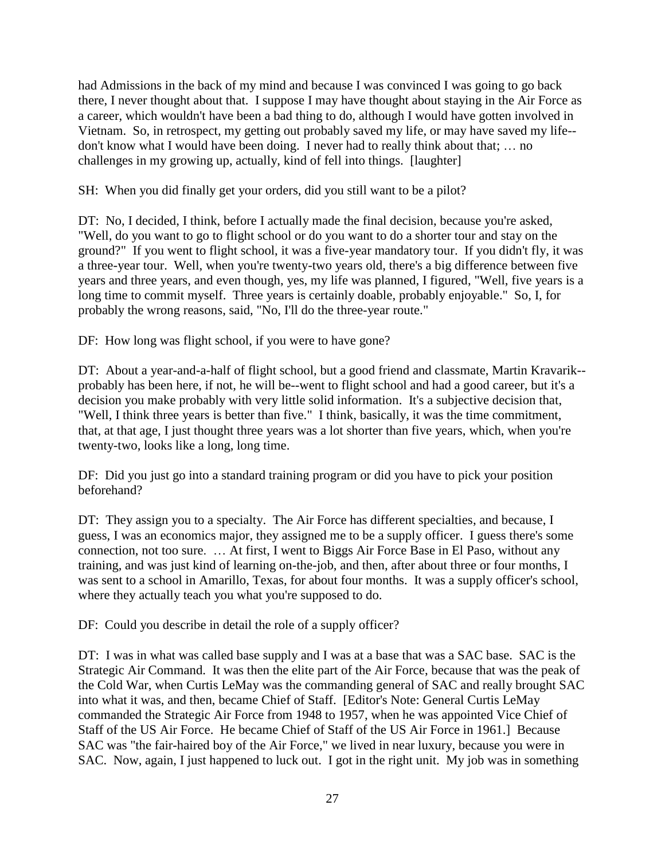had Admissions in the back of my mind and because I was convinced I was going to go back there, I never thought about that. I suppose I may have thought about staying in the Air Force as a career, which wouldn't have been a bad thing to do, although I would have gotten involved in Vietnam. So, in retrospect, my getting out probably saved my life, or may have saved my life- don't know what I would have been doing. I never had to really think about that; … no challenges in my growing up, actually, kind of fell into things. [laughter]

SH: When you did finally get your orders, did you still want to be a pilot?

DT: No, I decided, I think, before I actually made the final decision, because you're asked, "Well, do you want to go to flight school or do you want to do a shorter tour and stay on the ground?" If you went to flight school, it was a five-year mandatory tour. If you didn't fly, it was a three-year tour. Well, when you're twenty-two years old, there's a big difference between five years and three years, and even though, yes, my life was planned, I figured, "Well, five years is a long time to commit myself. Three years is certainly doable, probably enjoyable." So, I, for probably the wrong reasons, said, "No, I'll do the three-year route."

DF: How long was flight school, if you were to have gone?

DT: About a year-and-a-half of flight school, but a good friend and classmate, Martin Kravarik- probably has been here, if not, he will be--went to flight school and had a good career, but it's a decision you make probably with very little solid information. It's a subjective decision that, "Well, I think three years is better than five." I think, basically, it was the time commitment, that, at that age, I just thought three years was a lot shorter than five years, which, when you're twenty-two, looks like a long, long time.

DF: Did you just go into a standard training program or did you have to pick your position beforehand?

DT: They assign you to a specialty. The Air Force has different specialties, and because, I guess, I was an economics major, they assigned me to be a supply officer. I guess there's some connection, not too sure. … At first, I went to Biggs Air Force Base in El Paso, without any training, and was just kind of learning on-the-job, and then, after about three or four months, I was sent to a school in Amarillo, Texas, for about four months. It was a supply officer's school, where they actually teach you what you're supposed to do.

DF: Could you describe in detail the role of a supply officer?

DT: I was in what was called base supply and I was at a base that was a SAC base. SAC is the Strategic Air Command. It was then the elite part of the Air Force, because that was the peak of the Cold War, when Curtis LeMay was the commanding general of SAC and really brought SAC into what it was, and then, became Chief of Staff. [Editor's Note: General Curtis LeMay commanded the Strategic Air Force from 1948 to 1957, when he was appointed Vice Chief of Staff of the US Air Force. He became Chief of Staff of the US Air Force in 1961.] Because SAC was "the fair-haired boy of the Air Force," we lived in near luxury, because you were in SAC. Now, again, I just happened to luck out. I got in the right unit. My job was in something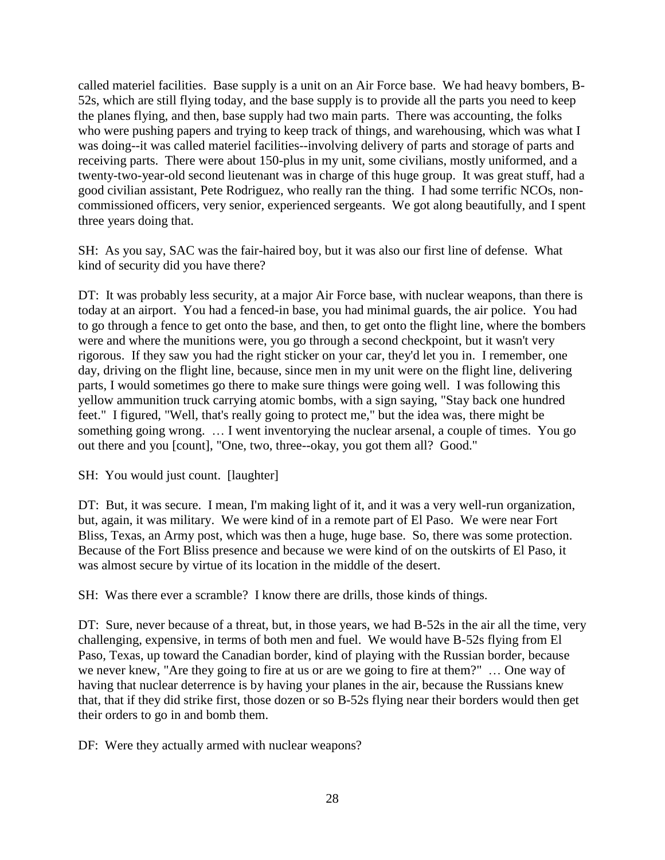called materiel facilities. Base supply is a unit on an Air Force base. We had heavy bombers, B-52s, which are still flying today, and the base supply is to provide all the parts you need to keep the planes flying, and then, base supply had two main parts. There was accounting, the folks who were pushing papers and trying to keep track of things, and warehousing, which was what I was doing--it was called materiel facilities--involving delivery of parts and storage of parts and receiving parts. There were about 150-plus in my unit, some civilians, mostly uniformed, and a twenty-two-year-old second lieutenant was in charge of this huge group. It was great stuff, had a good civilian assistant, Pete Rodriguez, who really ran the thing. I had some terrific NCOs, noncommissioned officers, very senior, experienced sergeants. We got along beautifully, and I spent three years doing that.

SH: As you say, SAC was the fair-haired boy, but it was also our first line of defense. What kind of security did you have there?

DT: It was probably less security, at a major Air Force base, with nuclear weapons, than there is today at an airport. You had a fenced-in base, you had minimal guards, the air police. You had to go through a fence to get onto the base, and then, to get onto the flight line, where the bombers were and where the munitions were, you go through a second checkpoint, but it wasn't very rigorous. If they saw you had the right sticker on your car, they'd let you in. I remember, one day, driving on the flight line, because, since men in my unit were on the flight line, delivering parts, I would sometimes go there to make sure things were going well. I was following this yellow ammunition truck carrying atomic bombs, with a sign saying, "Stay back one hundred feet." I figured, "Well, that's really going to protect me," but the idea was, there might be something going wrong. … I went inventorying the nuclear arsenal, a couple of times. You go out there and you [count], "One, two, three--okay, you got them all? Good."

SH: You would just count. [laughter]

DT: But, it was secure. I mean, I'm making light of it, and it was a very well-run organization, but, again, it was military. We were kind of in a remote part of El Paso. We were near Fort Bliss, Texas, an Army post, which was then a huge, huge base. So, there was some protection. Because of the Fort Bliss presence and because we were kind of on the outskirts of El Paso, it was almost secure by virtue of its location in the middle of the desert.

SH: Was there ever a scramble? I know there are drills, those kinds of things.

DT: Sure, never because of a threat, but, in those years, we had B-52s in the air all the time, very challenging, expensive, in terms of both men and fuel. We would have B-52s flying from El Paso, Texas, up toward the Canadian border, kind of playing with the Russian border, because we never knew, "Are they going to fire at us or are we going to fire at them?" … One way of having that nuclear deterrence is by having your planes in the air, because the Russians knew that, that if they did strike first, those dozen or so B-52s flying near their borders would then get their orders to go in and bomb them.

DF: Were they actually armed with nuclear weapons?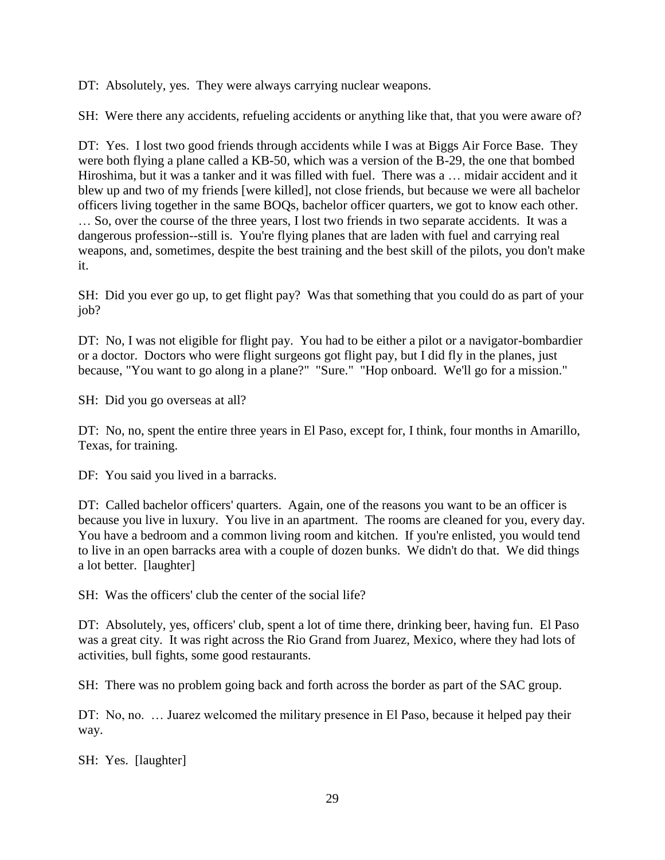DT: Absolutely, yes. They were always carrying nuclear weapons.

SH: Were there any accidents, refueling accidents or anything like that, that you were aware of?

DT: Yes. I lost two good friends through accidents while I was at Biggs Air Force Base. They were both flying a plane called a KB-50, which was a version of the B-29, the one that bombed Hiroshima, but it was a tanker and it was filled with fuel. There was a … midair accident and it blew up and two of my friends [were killed], not close friends, but because we were all bachelor officers living together in the same BOQs, bachelor officer quarters, we got to know each other. … So, over the course of the three years, I lost two friends in two separate accidents. It was a

dangerous profession--still is. You're flying planes that are laden with fuel and carrying real weapons, and, sometimes, despite the best training and the best skill of the pilots, you don't make it.

SH: Did you ever go up, to get flight pay? Was that something that you could do as part of your job?

DT: No, I was not eligible for flight pay. You had to be either a pilot or a navigator-bombardier or a doctor. Doctors who were flight surgeons got flight pay, but I did fly in the planes, just because, "You want to go along in a plane?" "Sure." "Hop onboard. We'll go for a mission."

SH: Did you go overseas at all?

DT: No, no, spent the entire three years in El Paso, except for, I think, four months in Amarillo, Texas, for training.

DF: You said you lived in a barracks.

DT: Called bachelor officers' quarters. Again, one of the reasons you want to be an officer is because you live in luxury. You live in an apartment. The rooms are cleaned for you, every day. You have a bedroom and a common living room and kitchen. If you're enlisted, you would tend to live in an open barracks area with a couple of dozen bunks. We didn't do that. We did things a lot better. [laughter]

SH: Was the officers' club the center of the social life?

DT: Absolutely, yes, officers' club, spent a lot of time there, drinking beer, having fun. El Paso was a great city. It was right across the Rio Grand from Juarez, Mexico, where they had lots of activities, bull fights, some good restaurants.

SH: There was no problem going back and forth across the border as part of the SAC group.

DT: No, no. ... Juarez welcomed the military presence in El Paso, because it helped pay their way.

SH: Yes. [laughter]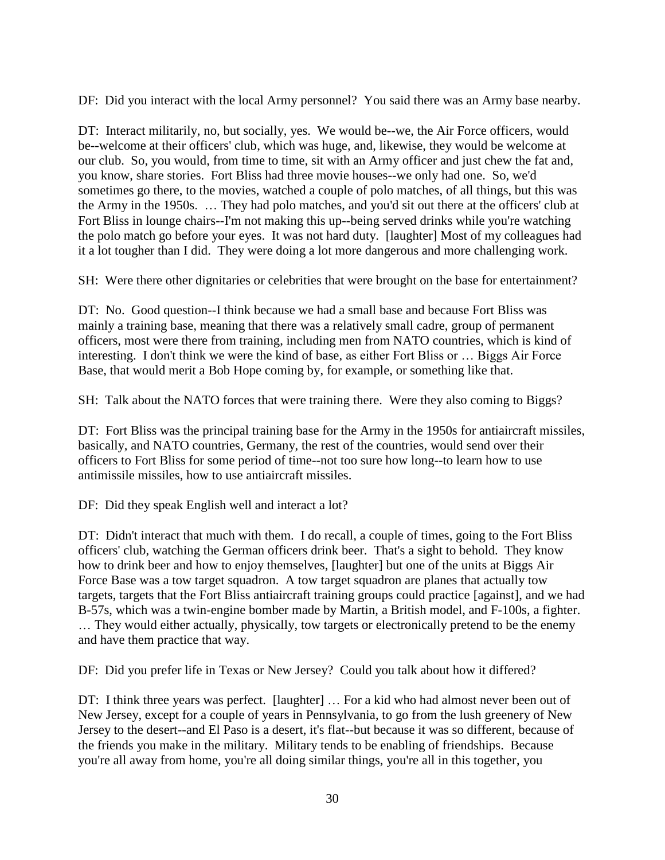DF: Did you interact with the local Army personnel? You said there was an Army base nearby.

DT: Interact militarily, no, but socially, yes. We would be--we, the Air Force officers, would be--welcome at their officers' club, which was huge, and, likewise, they would be welcome at our club. So, you would, from time to time, sit with an Army officer and just chew the fat and, you know, share stories. Fort Bliss had three movie houses--we only had one. So, we'd sometimes go there, to the movies, watched a couple of polo matches, of all things, but this was the Army in the 1950s. … They had polo matches, and you'd sit out there at the officers' club at Fort Bliss in lounge chairs--I'm not making this up--being served drinks while you're watching the polo match go before your eyes. It was not hard duty. [laughter] Most of my colleagues had it a lot tougher than I did. They were doing a lot more dangerous and more challenging work.

SH: Were there other dignitaries or celebrities that were brought on the base for entertainment?

DT: No. Good question--I think because we had a small base and because Fort Bliss was mainly a training base, meaning that there was a relatively small cadre, group of permanent officers, most were there from training, including men from NATO countries, which is kind of interesting. I don't think we were the kind of base, as either Fort Bliss or … Biggs Air Force Base, that would merit a Bob Hope coming by, for example, or something like that.

SH: Talk about the NATO forces that were training there. Were they also coming to Biggs?

DT: Fort Bliss was the principal training base for the Army in the 1950s for antiaircraft missiles, basically, and NATO countries, Germany, the rest of the countries, would send over their officers to Fort Bliss for some period of time--not too sure how long--to learn how to use antimissile missiles, how to use antiaircraft missiles.

DF: Did they speak English well and interact a lot?

DT: Didn't interact that much with them. I do recall, a couple of times, going to the Fort Bliss officers' club, watching the German officers drink beer. That's a sight to behold. They know how to drink beer and how to enjoy themselves, [laughter] but one of the units at Biggs Air Force Base was a tow target squadron. A tow target squadron are planes that actually tow targets, targets that the Fort Bliss antiaircraft training groups could practice [against], and we had B-57s, which was a twin-engine bomber made by Martin, a British model, and F-100s, a fighter. … They would either actually, physically, tow targets or electronically pretend to be the enemy and have them practice that way.

DF: Did you prefer life in Texas or New Jersey? Could you talk about how it differed?

DT: I think three years was perfect. [laughter] ... For a kid who had almost never been out of New Jersey, except for a couple of years in Pennsylvania, to go from the lush greenery of New Jersey to the desert--and El Paso is a desert, it's flat--but because it was so different, because of the friends you make in the military. Military tends to be enabling of friendships. Because you're all away from home, you're all doing similar things, you're all in this together, you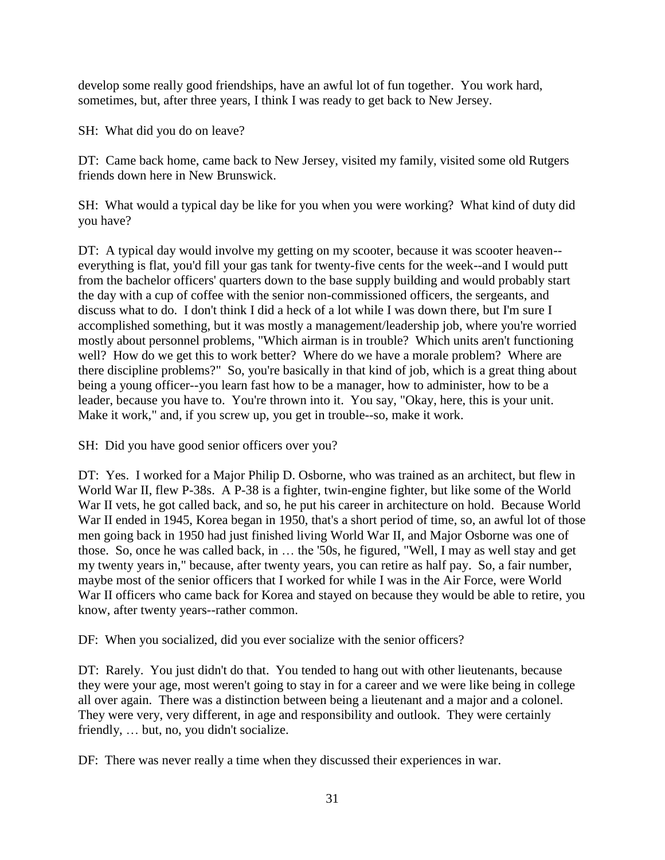develop some really good friendships, have an awful lot of fun together. You work hard, sometimes, but, after three years, I think I was ready to get back to New Jersey.

SH: What did you do on leave?

DT: Came back home, came back to New Jersey, visited my family, visited some old Rutgers friends down here in New Brunswick.

SH: What would a typical day be like for you when you were working? What kind of duty did you have?

DT: A typical day would involve my getting on my scooter, because it was scooter heaven-everything is flat, you'd fill your gas tank for twenty-five cents for the week--and I would putt from the bachelor officers' quarters down to the base supply building and would probably start the day with a cup of coffee with the senior non-commissioned officers, the sergeants, and discuss what to do. I don't think I did a heck of a lot while I was down there, but I'm sure I accomplished something, but it was mostly a management/leadership job, where you're worried mostly about personnel problems, "Which airman is in trouble? Which units aren't functioning well? How do we get this to work better? Where do we have a morale problem? Where are there discipline problems?" So, you're basically in that kind of job, which is a great thing about being a young officer--you learn fast how to be a manager, how to administer, how to be a leader, because you have to. You're thrown into it. You say, "Okay, here, this is your unit. Make it work," and, if you screw up, you get in trouble--so, make it work.

SH: Did you have good senior officers over you?

DT: Yes. I worked for a Major Philip D. Osborne, who was trained as an architect, but flew in World War II, flew P-38s. A P-38 is a fighter, twin-engine fighter, but like some of the World War II vets, he got called back, and so, he put his career in architecture on hold. Because World War II ended in 1945, Korea began in 1950, that's a short period of time, so, an awful lot of those men going back in 1950 had just finished living World War II, and Major Osborne was one of those. So, once he was called back, in … the '50s, he figured, "Well, I may as well stay and get my twenty years in," because, after twenty years, you can retire as half pay. So, a fair number, maybe most of the senior officers that I worked for while I was in the Air Force, were World War II officers who came back for Korea and stayed on because they would be able to retire, you know, after twenty years--rather common.

DF: When you socialized, did you ever socialize with the senior officers?

DT: Rarely. You just didn't do that. You tended to hang out with other lieutenants, because they were your age, most weren't going to stay in for a career and we were like being in college all over again. There was a distinction between being a lieutenant and a major and a colonel. They were very, very different, in age and responsibility and outlook. They were certainly friendly, … but, no, you didn't socialize.

DF: There was never really a time when they discussed their experiences in war.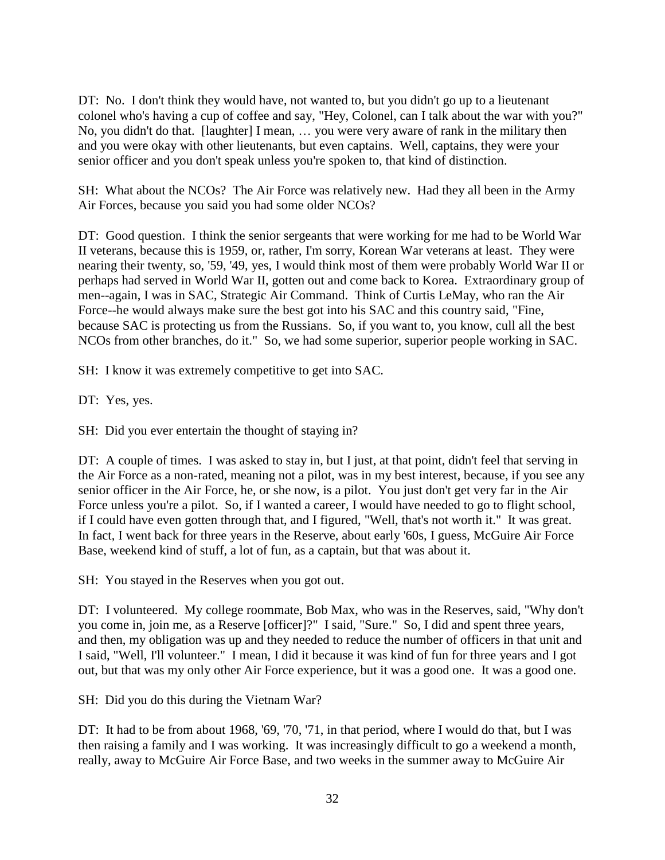DT: No. I don't think they would have, not wanted to, but you didn't go up to a lieutenant colonel who's having a cup of coffee and say, "Hey, Colonel, can I talk about the war with you?" No, you didn't do that. [laughter] I mean, … you were very aware of rank in the military then and you were okay with other lieutenants, but even captains. Well, captains, they were your senior officer and you don't speak unless you're spoken to, that kind of distinction.

SH: What about the NCOs? The Air Force was relatively new. Had they all been in the Army Air Forces, because you said you had some older NCOs?

DT: Good question. I think the senior sergeants that were working for me had to be World War II veterans, because this is 1959, or, rather, I'm sorry, Korean War veterans at least. They were nearing their twenty, so, '59, '49, yes, I would think most of them were probably World War II or perhaps had served in World War II, gotten out and come back to Korea. Extraordinary group of men--again, I was in SAC, Strategic Air Command. Think of Curtis LeMay, who ran the Air Force--he would always make sure the best got into his SAC and this country said, "Fine, because SAC is protecting us from the Russians. So, if you want to, you know, cull all the best NCOs from other branches, do it." So, we had some superior, superior people working in SAC.

SH: I know it was extremely competitive to get into SAC.

DT: Yes, yes.

SH: Did you ever entertain the thought of staying in?

DT: A couple of times. I was asked to stay in, but I just, at that point, didn't feel that serving in the Air Force as a non-rated, meaning not a pilot, was in my best interest, because, if you see any senior officer in the Air Force, he, or she now, is a pilot. You just don't get very far in the Air Force unless you're a pilot. So, if I wanted a career, I would have needed to go to flight school, if I could have even gotten through that, and I figured, "Well, that's not worth it." It was great. In fact, I went back for three years in the Reserve, about early '60s, I guess, McGuire Air Force Base, weekend kind of stuff, a lot of fun, as a captain, but that was about it.

SH: You stayed in the Reserves when you got out.

DT: I volunteered. My college roommate, Bob Max, who was in the Reserves, said, "Why don't you come in, join me, as a Reserve [officer]?" I said, "Sure." So, I did and spent three years, and then, my obligation was up and they needed to reduce the number of officers in that unit and I said, "Well, I'll volunteer." I mean, I did it because it was kind of fun for three years and I got out, but that was my only other Air Force experience, but it was a good one. It was a good one.

SH: Did you do this during the Vietnam War?

DT: It had to be from about 1968, '69, '70, '71, in that period, where I would do that, but I was then raising a family and I was working. It was increasingly difficult to go a weekend a month, really, away to McGuire Air Force Base, and two weeks in the summer away to McGuire Air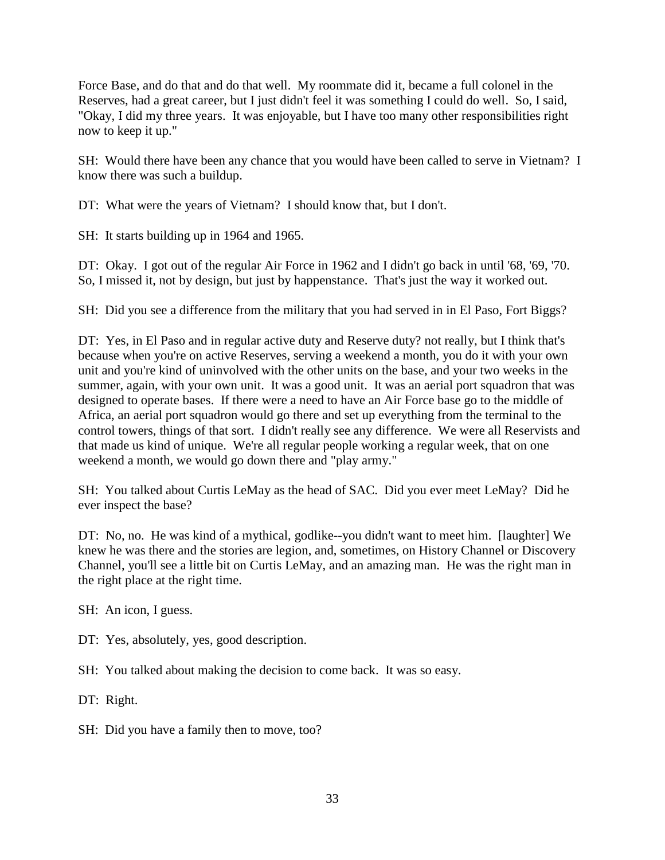Force Base, and do that and do that well. My roommate did it, became a full colonel in the Reserves, had a great career, but I just didn't feel it was something I could do well. So, I said, "Okay, I did my three years. It was enjoyable, but I have too many other responsibilities right now to keep it up."

SH: Would there have been any chance that you would have been called to serve in Vietnam? I know there was such a buildup.

DT: What were the years of Vietnam? I should know that, but I don't.

SH: It starts building up in 1964 and 1965.

DT: Okay. I got out of the regular Air Force in 1962 and I didn't go back in until '68, '69, '70. So, I missed it, not by design, but just by happenstance. That's just the way it worked out.

SH: Did you see a difference from the military that you had served in in El Paso, Fort Biggs?

DT: Yes, in El Paso and in regular active duty and Reserve duty? not really, but I think that's because when you're on active Reserves, serving a weekend a month, you do it with your own unit and you're kind of uninvolved with the other units on the base, and your two weeks in the summer, again, with your own unit. It was a good unit. It was an aerial port squadron that was designed to operate bases. If there were a need to have an Air Force base go to the middle of Africa, an aerial port squadron would go there and set up everything from the terminal to the control towers, things of that sort. I didn't really see any difference. We were all Reservists and that made us kind of unique. We're all regular people working a regular week, that on one weekend a month, we would go down there and "play army."

SH: You talked about Curtis LeMay as the head of SAC. Did you ever meet LeMay? Did he ever inspect the base?

DT: No, no. He was kind of a mythical, godlike--you didn't want to meet him. [laughter] We knew he was there and the stories are legion, and, sometimes, on History Channel or Discovery Channel, you'll see a little bit on Curtis LeMay, and an amazing man. He was the right man in the right place at the right time.

SH: An icon, I guess.

DT: Yes, absolutely, yes, good description.

SH: You talked about making the decision to come back. It was so easy.

DT: Right.

SH: Did you have a family then to move, too?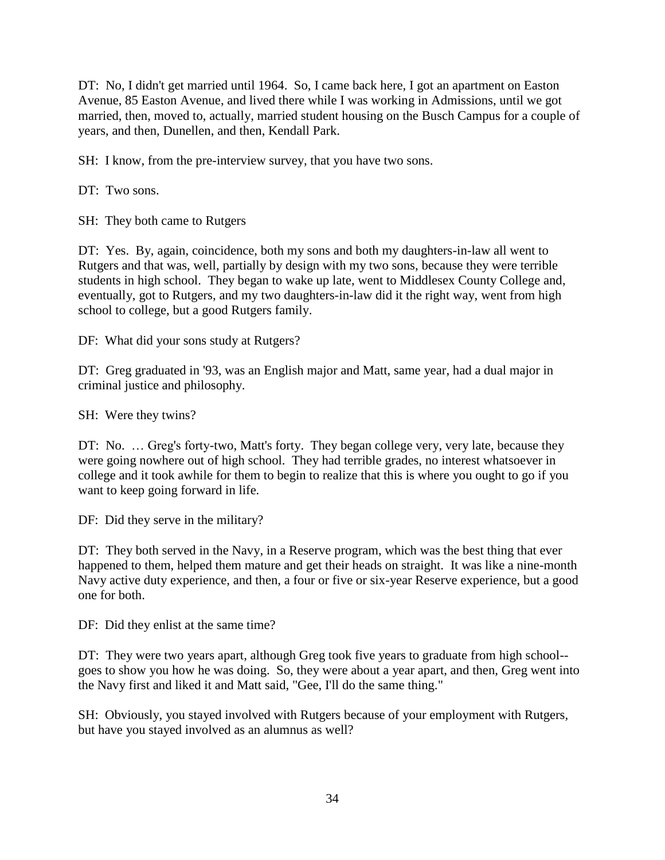DT: No, I didn't get married until 1964. So, I came back here, I got an apartment on Easton Avenue, 85 Easton Avenue, and lived there while I was working in Admissions, until we got married, then, moved to, actually, married student housing on the Busch Campus for a couple of years, and then, Dunellen, and then, Kendall Park.

SH: I know, from the pre-interview survey, that you have two sons.

DT: Two sons.

SH: They both came to Rutgers

DT: Yes. By, again, coincidence, both my sons and both my daughters-in-law all went to Rutgers and that was, well, partially by design with my two sons, because they were terrible students in high school. They began to wake up late, went to Middlesex County College and, eventually, got to Rutgers, and my two daughters-in-law did it the right way, went from high school to college, but a good Rutgers family.

DF: What did your sons study at Rutgers?

DT: Greg graduated in '93, was an English major and Matt, same year, had a dual major in criminal justice and philosophy.

SH: Were they twins?

DT: No. … Greg's forty-two, Matt's forty. They began college very, very late, because they were going nowhere out of high school. They had terrible grades, no interest whatsoever in college and it took awhile for them to begin to realize that this is where you ought to go if you want to keep going forward in life.

DF: Did they serve in the military?

DT: They both served in the Navy, in a Reserve program, which was the best thing that ever happened to them, helped them mature and get their heads on straight. It was like a nine-month Navy active duty experience, and then, a four or five or six-year Reserve experience, but a good one for both.

DF: Did they enlist at the same time?

DT: They were two years apart, although Greg took five years to graduate from high school- goes to show you how he was doing. So, they were about a year apart, and then, Greg went into the Navy first and liked it and Matt said, "Gee, I'll do the same thing."

SH: Obviously, you stayed involved with Rutgers because of your employment with Rutgers, but have you stayed involved as an alumnus as well?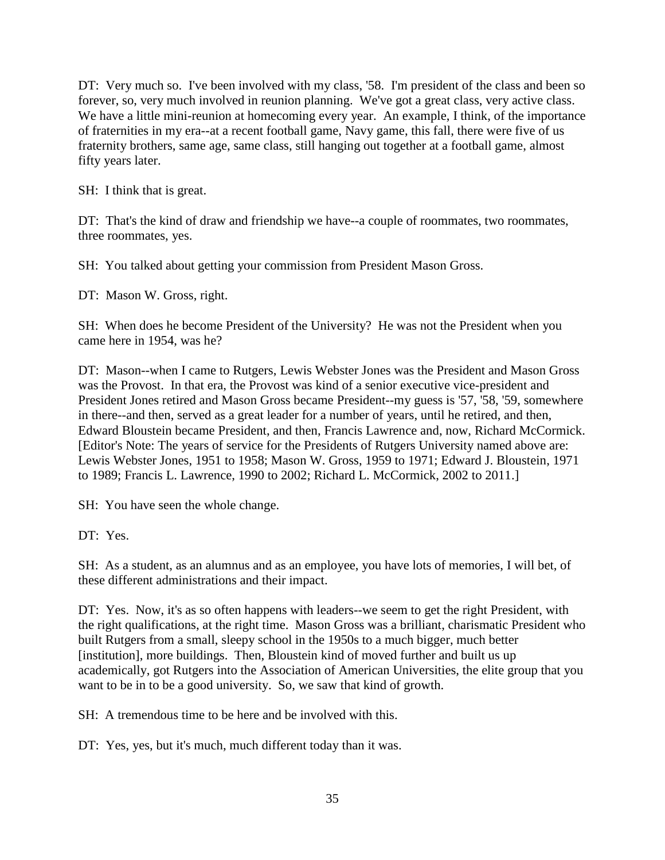DT: Very much so. I've been involved with my class, '58. I'm president of the class and been so forever, so, very much involved in reunion planning. We've got a great class, very active class. We have a little mini-reunion at homecoming every year. An example, I think, of the importance of fraternities in my era--at a recent football game, Navy game, this fall, there were five of us fraternity brothers, same age, same class, still hanging out together at a football game, almost fifty years later.

SH: I think that is great.

DT: That's the kind of draw and friendship we have--a couple of roommates, two roommates, three roommates, yes.

SH: You talked about getting your commission from President Mason Gross.

DT: Mason W. Gross, right.

SH: When does he become President of the University? He was not the President when you came here in 1954, was he?

DT: Mason--when I came to Rutgers, Lewis Webster Jones was the President and Mason Gross was the Provost. In that era, the Provost was kind of a senior executive vice-president and President Jones retired and Mason Gross became President--my guess is '57, '58, '59, somewhere in there--and then, served as a great leader for a number of years, until he retired, and then, Edward Bloustein became President, and then, Francis Lawrence and, now, Richard McCormick. [Editor's Note: The years of service for the Presidents of Rutgers University named above are: Lewis Webster Jones, 1951 to 1958; Mason W. Gross, 1959 to 1971; Edward J. Bloustein, 1971 to 1989; Francis L. Lawrence, 1990 to 2002; Richard L. McCormick, 2002 to 2011.]

SH: You have seen the whole change.

DT: Yes.

SH: As a student, as an alumnus and as an employee, you have lots of memories, I will bet, of these different administrations and their impact.

DT: Yes. Now, it's as so often happens with leaders--we seem to get the right President, with the right qualifications, at the right time. Mason Gross was a brilliant, charismatic President who built Rutgers from a small, sleepy school in the 1950s to a much bigger, much better [institution], more buildings. Then, Bloustein kind of moved further and built us up academically, got Rutgers into the Association of American Universities, the elite group that you want to be in to be a good university. So, we saw that kind of growth.

SH: A tremendous time to be here and be involved with this.

DT: Yes, yes, but it's much, much different today than it was.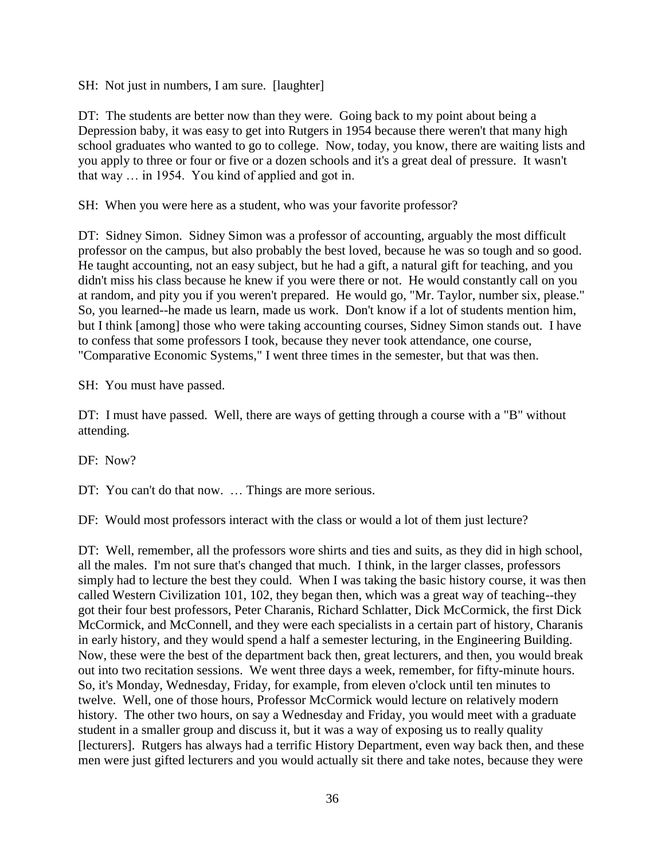SH: Not just in numbers, I am sure. [laughter]

DT: The students are better now than they were. Going back to my point about being a Depression baby, it was easy to get into Rutgers in 1954 because there weren't that many high school graduates who wanted to go to college. Now, today, you know, there are waiting lists and you apply to three or four or five or a dozen schools and it's a great deal of pressure. It wasn't that way … in 1954. You kind of applied and got in.

SH: When you were here as a student, who was your favorite professor?

DT: Sidney Simon. Sidney Simon was a professor of accounting, arguably the most difficult professor on the campus, but also probably the best loved, because he was so tough and so good. He taught accounting, not an easy subject, but he had a gift, a natural gift for teaching, and you didn't miss his class because he knew if you were there or not. He would constantly call on you at random, and pity you if you weren't prepared. He would go, "Mr. Taylor, number six, please." So, you learned--he made us learn, made us work. Don't know if a lot of students mention him, but I think [among] those who were taking accounting courses, Sidney Simon stands out. I have to confess that some professors I took, because they never took attendance, one course, "Comparative Economic Systems," I went three times in the semester, but that was then.

SH: You must have passed.

DT: I must have passed. Well, there are ways of getting through a course with a "B" without attending.

DF: Now?

DT: You can't do that now. ... Things are more serious.

DF: Would most professors interact with the class or would a lot of them just lecture?

DT: Well, remember, all the professors wore shirts and ties and suits, as they did in high school, all the males. I'm not sure that's changed that much. I think, in the larger classes, professors simply had to lecture the best they could. When I was taking the basic history course, it was then called Western Civilization 101, 102, they began then, which was a great way of teaching--they got their four best professors, Peter Charanis, Richard Schlatter, Dick McCormick, the first Dick McCormick, and McConnell, and they were each specialists in a certain part of history, Charanis in early history, and they would spend a half a semester lecturing, in the Engineering Building. Now, these were the best of the department back then, great lecturers, and then, you would break out into two recitation sessions. We went three days a week, remember, for fifty-minute hours. So, it's Monday, Wednesday, Friday, for example, from eleven o'clock until ten minutes to twelve. Well, one of those hours, Professor McCormick would lecture on relatively modern history. The other two hours, on say a Wednesday and Friday, you would meet with a graduate student in a smaller group and discuss it, but it was a way of exposing us to really quality [lecturers]. Rutgers has always had a terrific History Department, even way back then, and these men were just gifted lecturers and you would actually sit there and take notes, because they were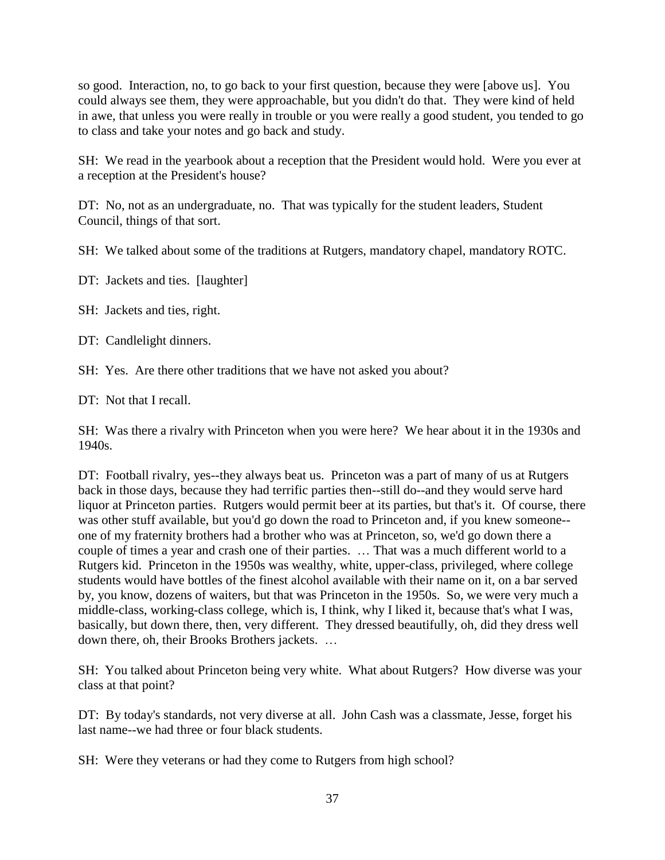so good. Interaction, no, to go back to your first question, because they were [above us]. You could always see them, they were approachable, but you didn't do that. They were kind of held in awe, that unless you were really in trouble or you were really a good student, you tended to go to class and take your notes and go back and study.

SH: We read in the yearbook about a reception that the President would hold. Were you ever at a reception at the President's house?

DT: No, not as an undergraduate, no. That was typically for the student leaders, Student Council, things of that sort.

SH: We talked about some of the traditions at Rutgers, mandatory chapel, mandatory ROTC.

DT: Jackets and ties. [laughter]

SH: Jackets and ties, right.

DT: Candlelight dinners.

SH: Yes. Are there other traditions that we have not asked you about?

DT: Not that I recall.

SH: Was there a rivalry with Princeton when you were here? We hear about it in the 1930s and 1940s.

DT: Football rivalry, yes--they always beat us. Princeton was a part of many of us at Rutgers back in those days, because they had terrific parties then--still do--and they would serve hard liquor at Princeton parties. Rutgers would permit beer at its parties, but that's it. Of course, there was other stuff available, but you'd go down the road to Princeton and, if you knew someone- one of my fraternity brothers had a brother who was at Princeton, so, we'd go down there a couple of times a year and crash one of their parties. … That was a much different world to a Rutgers kid. Princeton in the 1950s was wealthy, white, upper-class, privileged, where college students would have bottles of the finest alcohol available with their name on it, on a bar served by, you know, dozens of waiters, but that was Princeton in the 1950s. So, we were very much a middle-class, working-class college, which is, I think, why I liked it, because that's what I was, basically, but down there, then, very different. They dressed beautifully, oh, did they dress well down there, oh, their Brooks Brothers jackets. …

SH: You talked about Princeton being very white. What about Rutgers? How diverse was your class at that point?

DT: By today's standards, not very diverse at all. John Cash was a classmate, Jesse, forget his last name--we had three or four black students.

SH: Were they veterans or had they come to Rutgers from high school?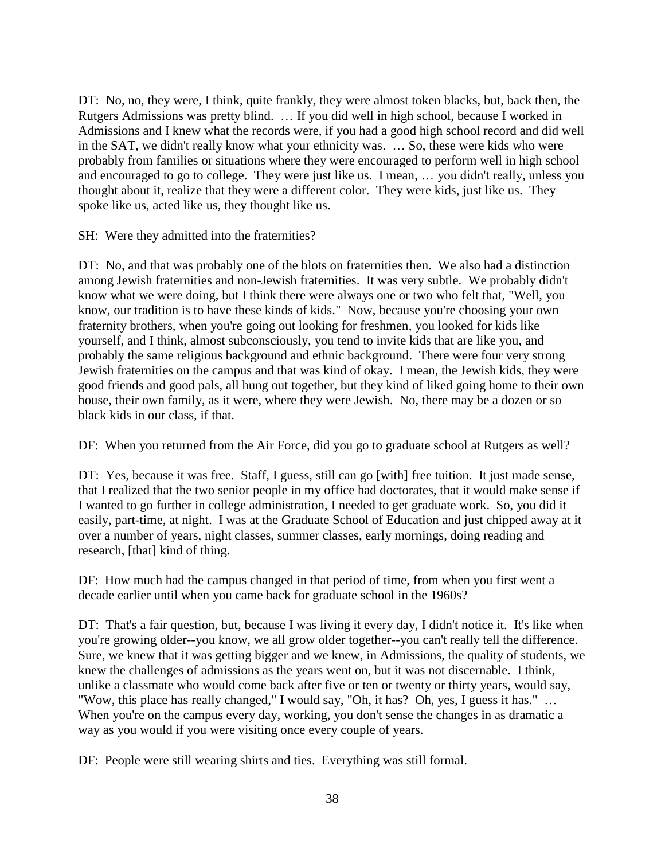DT: No, no, they were, I think, quite frankly, they were almost token blacks, but, back then, the Rutgers Admissions was pretty blind. … If you did well in high school, because I worked in Admissions and I knew what the records were, if you had a good high school record and did well in the SAT, we didn't really know what your ethnicity was. … So, these were kids who were probably from families or situations where they were encouraged to perform well in high school and encouraged to go to college. They were just like us. I mean, … you didn't really, unless you thought about it, realize that they were a different color. They were kids, just like us. They spoke like us, acted like us, they thought like us.

SH: Were they admitted into the fraternities?

DT: No, and that was probably one of the blots on fraternities then. We also had a distinction among Jewish fraternities and non-Jewish fraternities. It was very subtle. We probably didn't know what we were doing, but I think there were always one or two who felt that, "Well, you know, our tradition is to have these kinds of kids." Now, because you're choosing your own fraternity brothers, when you're going out looking for freshmen, you looked for kids like yourself, and I think, almost subconsciously, you tend to invite kids that are like you, and probably the same religious background and ethnic background. There were four very strong Jewish fraternities on the campus and that was kind of okay. I mean, the Jewish kids, they were good friends and good pals, all hung out together, but they kind of liked going home to their own house, their own family, as it were, where they were Jewish. No, there may be a dozen or so black kids in our class, if that.

DF: When you returned from the Air Force, did you go to graduate school at Rutgers as well?

DT: Yes, because it was free. Staff, I guess, still can go [with] free tuition. It just made sense, that I realized that the two senior people in my office had doctorates, that it would make sense if I wanted to go further in college administration, I needed to get graduate work. So, you did it easily, part-time, at night. I was at the Graduate School of Education and just chipped away at it over a number of years, night classes, summer classes, early mornings, doing reading and research, [that] kind of thing.

DF: How much had the campus changed in that period of time, from when you first went a decade earlier until when you came back for graduate school in the 1960s?

DT: That's a fair question, but, because I was living it every day, I didn't notice it. It's like when you're growing older--you know, we all grow older together--you can't really tell the difference. Sure, we knew that it was getting bigger and we knew, in Admissions, the quality of students, we knew the challenges of admissions as the years went on, but it was not discernable. I think, unlike a classmate who would come back after five or ten or twenty or thirty years, would say, "Wow, this place has really changed," I would say, "Oh, it has? Oh, yes, I guess it has." … When you're on the campus every day, working, you don't sense the changes in as dramatic a way as you would if you were visiting once every couple of years.

DF: People were still wearing shirts and ties. Everything was still formal.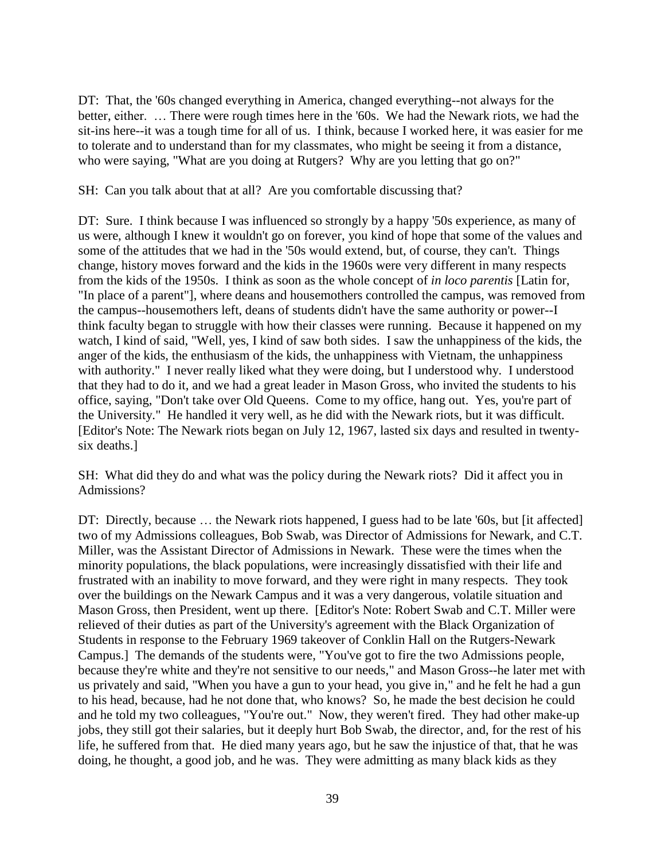DT: That, the '60s changed everything in America, changed everything--not always for the better, either. … There were rough times here in the '60s. We had the Newark riots, we had the sit-ins here--it was a tough time for all of us. I think, because I worked here, it was easier for me to tolerate and to understand than for my classmates, who might be seeing it from a distance, who were saying, "What are you doing at Rutgers? Why are you letting that go on?"

SH: Can you talk about that at all? Are you comfortable discussing that?

DT: Sure. I think because I was influenced so strongly by a happy '50s experience, as many of us were, although I knew it wouldn't go on forever, you kind of hope that some of the values and some of the attitudes that we had in the '50s would extend, but, of course, they can't. Things change, history moves forward and the kids in the 1960s were very different in many respects from the kids of the 1950s. I think as soon as the whole concept of *in loco parentis* [Latin for, "In place of a parent"], where deans and housemothers controlled the campus, was removed from the campus--housemothers left, deans of students didn't have the same authority or power--I think faculty began to struggle with how their classes were running. Because it happened on my watch, I kind of said, "Well, yes, I kind of saw both sides. I saw the unhappiness of the kids, the anger of the kids, the enthusiasm of the kids, the unhappiness with Vietnam, the unhappiness with authority." I never really liked what they were doing, but I understood why. I understood that they had to do it, and we had a great leader in Mason Gross, who invited the students to his office, saying, "Don't take over Old Queens. Come to my office, hang out. Yes, you're part of the University." He handled it very well, as he did with the Newark riots, but it was difficult. [Editor's Note: The Newark riots began on July 12, 1967, lasted six days and resulted in twentysix deaths.]

SH: What did they do and what was the policy during the Newark riots? Did it affect you in Admissions?

DT: Directly, because ... the Newark riots happened, I guess had to be late '60s, but [it affected] two of my Admissions colleagues, Bob Swab, was Director of Admissions for Newark, and C.T. Miller, was the Assistant Director of Admissions in Newark. These were the times when the minority populations, the black populations, were increasingly dissatisfied with their life and frustrated with an inability to move forward, and they were right in many respects. They took over the buildings on the Newark Campus and it was a very dangerous, volatile situation and Mason Gross, then President, went up there. [Editor's Note: Robert Swab and C.T. Miller were relieved of their duties as part of the University's agreement with the Black Organization of Students in response to the February 1969 takeover of Conklin Hall on the Rutgers-Newark Campus.] The demands of the students were, "You've got to fire the two Admissions people, because they're white and they're not sensitive to our needs," and Mason Gross--he later met with us privately and said, "When you have a gun to your head, you give in," and he felt he had a gun to his head, because, had he not done that, who knows? So, he made the best decision he could and he told my two colleagues, "You're out." Now, they weren't fired. They had other make-up jobs, they still got their salaries, but it deeply hurt Bob Swab, the director, and, for the rest of his life, he suffered from that. He died many years ago, but he saw the injustice of that, that he was doing, he thought, a good job, and he was. They were admitting as many black kids as they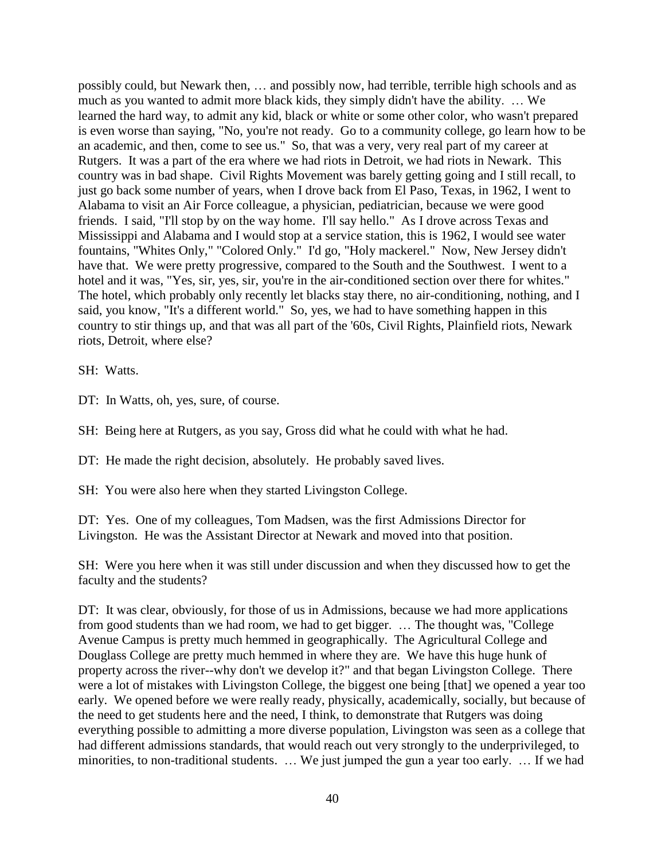possibly could, but Newark then, … and possibly now, had terrible, terrible high schools and as much as you wanted to admit more black kids, they simply didn't have the ability. … We learned the hard way, to admit any kid, black or white or some other color, who wasn't prepared is even worse than saying, "No, you're not ready. Go to a community college, go learn how to be an academic, and then, come to see us." So, that was a very, very real part of my career at Rutgers. It was a part of the era where we had riots in Detroit, we had riots in Newark. This country was in bad shape. Civil Rights Movement was barely getting going and I still recall, to just go back some number of years, when I drove back from El Paso, Texas, in 1962, I went to Alabama to visit an Air Force colleague, a physician, pediatrician, because we were good friends. I said, "I'll stop by on the way home. I'll say hello." As I drove across Texas and Mississippi and Alabama and I would stop at a service station, this is 1962, I would see water fountains, "Whites Only," "Colored Only." I'd go, "Holy mackerel." Now, New Jersey didn't have that. We were pretty progressive, compared to the South and the Southwest. I went to a hotel and it was, "Yes, sir, yes, sir, you're in the air-conditioned section over there for whites." The hotel, which probably only recently let blacks stay there, no air-conditioning, nothing, and I said, you know, "It's a different world." So, yes, we had to have something happen in this country to stir things up, and that was all part of the '60s, Civil Rights, Plainfield riots, Newark riots, Detroit, where else?

SH: Watts.

DT: In Watts, oh, yes, sure, of course.

SH: Being here at Rutgers, as you say, Gross did what he could with what he had.

DT: He made the right decision, absolutely. He probably saved lives.

SH: You were also here when they started Livingston College.

DT: Yes. One of my colleagues, Tom Madsen, was the first Admissions Director for Livingston. He was the Assistant Director at Newark and moved into that position.

SH: Were you here when it was still under discussion and when they discussed how to get the faculty and the students?

DT: It was clear, obviously, for those of us in Admissions, because we had more applications from good students than we had room, we had to get bigger. … The thought was, "College Avenue Campus is pretty much hemmed in geographically. The Agricultural College and Douglass College are pretty much hemmed in where they are. We have this huge hunk of property across the river--why don't we develop it?" and that began Livingston College. There were a lot of mistakes with Livingston College, the biggest one being [that] we opened a year too early. We opened before we were really ready, physically, academically, socially, but because of the need to get students here and the need, I think, to demonstrate that Rutgers was doing everything possible to admitting a more diverse population, Livingston was seen as a college that had different admissions standards, that would reach out very strongly to the underprivileged, to minorities, to non-traditional students. … We just jumped the gun a year too early. … If we had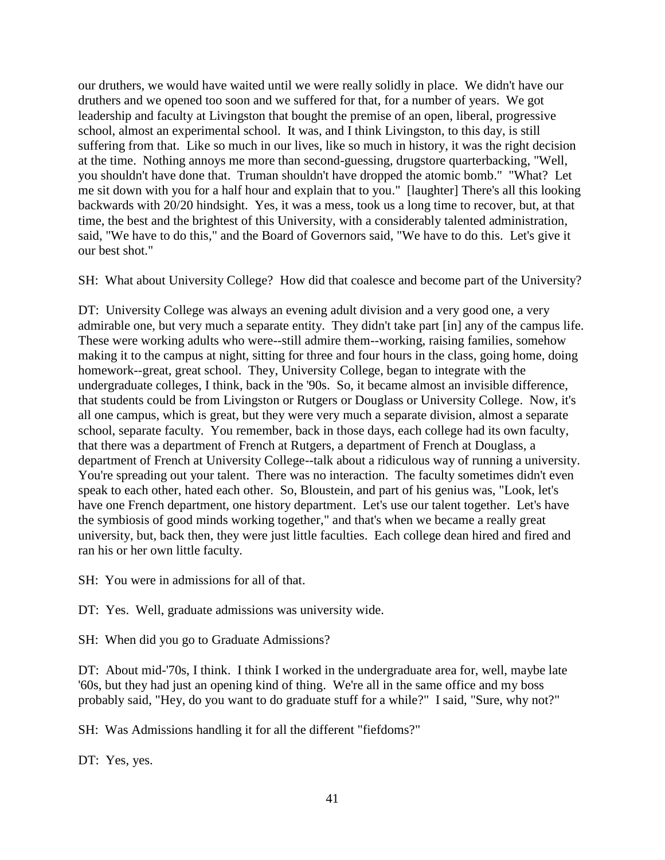our druthers, we would have waited until we were really solidly in place. We didn't have our druthers and we opened too soon and we suffered for that, for a number of years. We got leadership and faculty at Livingston that bought the premise of an open, liberal, progressive school, almost an experimental school. It was, and I think Livingston, to this day, is still suffering from that. Like so much in our lives, like so much in history, it was the right decision at the time. Nothing annoys me more than second-guessing, drugstore quarterbacking, "Well, you shouldn't have done that. Truman shouldn't have dropped the atomic bomb." "What? Let me sit down with you for a half hour and explain that to you." [laughter] There's all this looking backwards with 20/20 hindsight. Yes, it was a mess, took us a long time to recover, but, at that time, the best and the brightest of this University, with a considerably talented administration, said, "We have to do this," and the Board of Governors said, "We have to do this. Let's give it our best shot."

SH: What about University College? How did that coalesce and become part of the University?

DT: University College was always an evening adult division and a very good one, a very admirable one, but very much a separate entity. They didn't take part [in] any of the campus life. These were working adults who were--still admire them--working, raising families, somehow making it to the campus at night, sitting for three and four hours in the class, going home, doing homework--great, great school. They, University College, began to integrate with the undergraduate colleges, I think, back in the '90s. So, it became almost an invisible difference, that students could be from Livingston or Rutgers or Douglass or University College. Now, it's all one campus, which is great, but they were very much a separate division, almost a separate school, separate faculty. You remember, back in those days, each college had its own faculty, that there was a department of French at Rutgers, a department of French at Douglass, a department of French at University College--talk about a ridiculous way of running a university. You're spreading out your talent. There was no interaction. The faculty sometimes didn't even speak to each other, hated each other. So, Bloustein, and part of his genius was, "Look, let's have one French department, one history department. Let's use our talent together. Let's have the symbiosis of good minds working together," and that's when we became a really great university, but, back then, they were just little faculties. Each college dean hired and fired and ran his or her own little faculty.

SH: You were in admissions for all of that.

DT: Yes. Well, graduate admissions was university wide.

SH: When did you go to Graduate Admissions?

DT: About mid-'70s, I think. I think I worked in the undergraduate area for, well, maybe late '60s, but they had just an opening kind of thing. We're all in the same office and my boss probably said, "Hey, do you want to do graduate stuff for a while?" I said, "Sure, why not?"

SH: Was Admissions handling it for all the different "fiefdoms?"

DT: Yes, yes.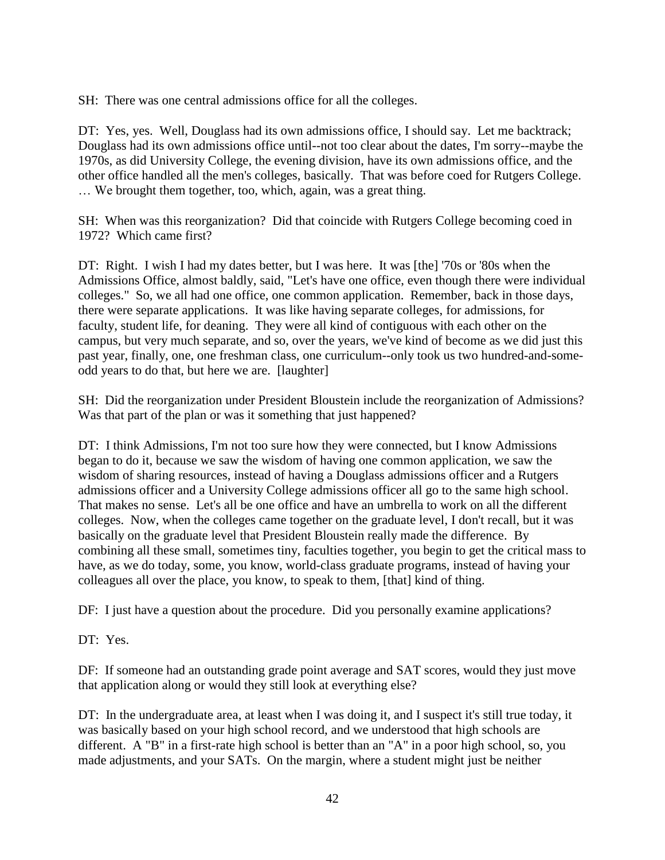SH: There was one central admissions office for all the colleges.

DT: Yes, yes. Well, Douglass had its own admissions office, I should say. Let me backtrack; Douglass had its own admissions office until--not too clear about the dates, I'm sorry--maybe the 1970s, as did University College, the evening division, have its own admissions office, and the other office handled all the men's colleges, basically. That was before coed for Rutgers College. … We brought them together, too, which, again, was a great thing.

SH: When was this reorganization? Did that coincide with Rutgers College becoming coed in 1972? Which came first?

DT: Right. I wish I had my dates better, but I was here. It was [the] '70s or '80s when the Admissions Office, almost baldly, said, "Let's have one office, even though there were individual colleges." So, we all had one office, one common application. Remember, back in those days, there were separate applications. It was like having separate colleges, for admissions, for faculty, student life, for deaning. They were all kind of contiguous with each other on the campus, but very much separate, and so, over the years, we've kind of become as we did just this past year, finally, one, one freshman class, one curriculum--only took us two hundred-and-someodd years to do that, but here we are. [laughter]

SH: Did the reorganization under President Bloustein include the reorganization of Admissions? Was that part of the plan or was it something that just happened?

DT: I think Admissions, I'm not too sure how they were connected, but I know Admissions began to do it, because we saw the wisdom of having one common application, we saw the wisdom of sharing resources, instead of having a Douglass admissions officer and a Rutgers admissions officer and a University College admissions officer all go to the same high school. That makes no sense. Let's all be one office and have an umbrella to work on all the different colleges. Now, when the colleges came together on the graduate level, I don't recall, but it was basically on the graduate level that President Bloustein really made the difference. By combining all these small, sometimes tiny, faculties together, you begin to get the critical mass to have, as we do today, some, you know, world-class graduate programs, instead of having your colleagues all over the place, you know, to speak to them, [that] kind of thing.

DF: I just have a question about the procedure. Did you personally examine applications?

DT: Yes.

DF: If someone had an outstanding grade point average and SAT scores, would they just move that application along or would they still look at everything else?

DT: In the undergraduate area, at least when I was doing it, and I suspect it's still true today, it was basically based on your high school record, and we understood that high schools are different. A "B" in a first-rate high school is better than an "A" in a poor high school, so, you made adjustments, and your SATs. On the margin, where a student might just be neither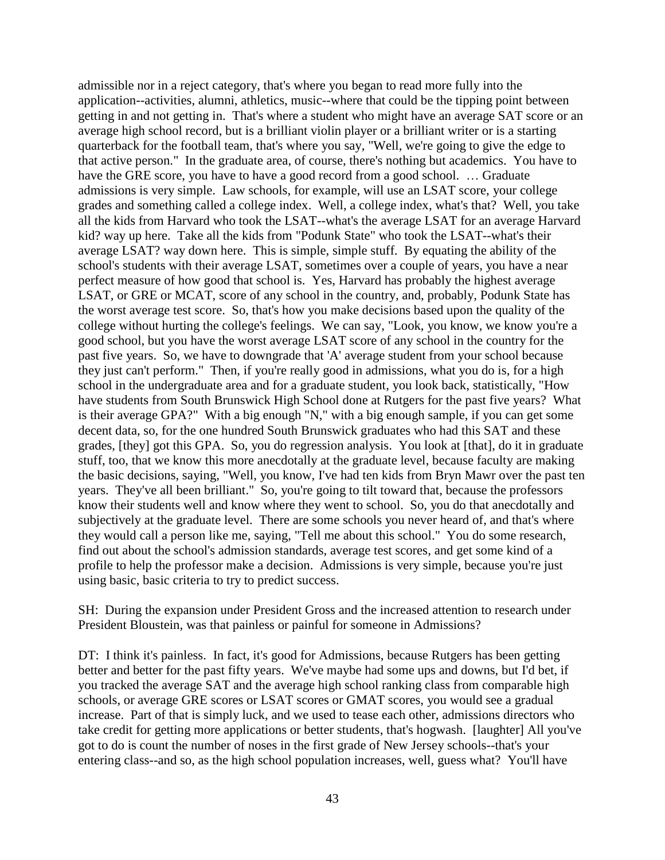admissible nor in a reject category, that's where you began to read more fully into the application--activities, alumni, athletics, music--where that could be the tipping point between getting in and not getting in. That's where a student who might have an average SAT score or an average high school record, but is a brilliant violin player or a brilliant writer or is a starting quarterback for the football team, that's where you say, "Well, we're going to give the edge to that active person." In the graduate area, of course, there's nothing but academics. You have to have the GRE score, you have to have a good record from a good school. ... Graduate admissions is very simple. Law schools, for example, will use an LSAT score, your college grades and something called a college index. Well, a college index, what's that? Well, you take all the kids from Harvard who took the LSAT--what's the average LSAT for an average Harvard kid? way up here. Take all the kids from "Podunk State" who took the LSAT--what's their average LSAT? way down here. This is simple, simple stuff. By equating the ability of the school's students with their average LSAT, sometimes over a couple of years, you have a near perfect measure of how good that school is. Yes, Harvard has probably the highest average LSAT, or GRE or MCAT, score of any school in the country, and, probably, Podunk State has the worst average test score. So, that's how you make decisions based upon the quality of the college without hurting the college's feelings. We can say, "Look, you know, we know you're a good school, but you have the worst average LSAT score of any school in the country for the past five years. So, we have to downgrade that 'A' average student from your school because they just can't perform." Then, if you're really good in admissions, what you do is, for a high school in the undergraduate area and for a graduate student, you look back, statistically, "How have students from South Brunswick High School done at Rutgers for the past five years? What is their average GPA?" With a big enough "N," with a big enough sample, if you can get some decent data, so, for the one hundred South Brunswick graduates who had this SAT and these grades, [they] got this GPA. So, you do regression analysis. You look at [that], do it in graduate stuff, too, that we know this more anecdotally at the graduate level, because faculty are making the basic decisions, saying, "Well, you know, I've had ten kids from Bryn Mawr over the past ten years. They've all been brilliant." So, you're going to tilt toward that, because the professors know their students well and know where they went to school. So, you do that anecdotally and subjectively at the graduate level. There are some schools you never heard of, and that's where they would call a person like me, saying, "Tell me about this school." You do some research, find out about the school's admission standards, average test scores, and get some kind of a profile to help the professor make a decision. Admissions is very simple, because you're just using basic, basic criteria to try to predict success.

SH: During the expansion under President Gross and the increased attention to research under President Bloustein, was that painless or painful for someone in Admissions?

DT: I think it's painless. In fact, it's good for Admissions, because Rutgers has been getting better and better for the past fifty years. We've maybe had some ups and downs, but I'd bet, if you tracked the average SAT and the average high school ranking class from comparable high schools, or average GRE scores or LSAT scores or GMAT scores, you would see a gradual increase. Part of that is simply luck, and we used to tease each other, admissions directors who take credit for getting more applications or better students, that's hogwash. [laughter] All you've got to do is count the number of noses in the first grade of New Jersey schools--that's your entering class--and so, as the high school population increases, well, guess what? You'll have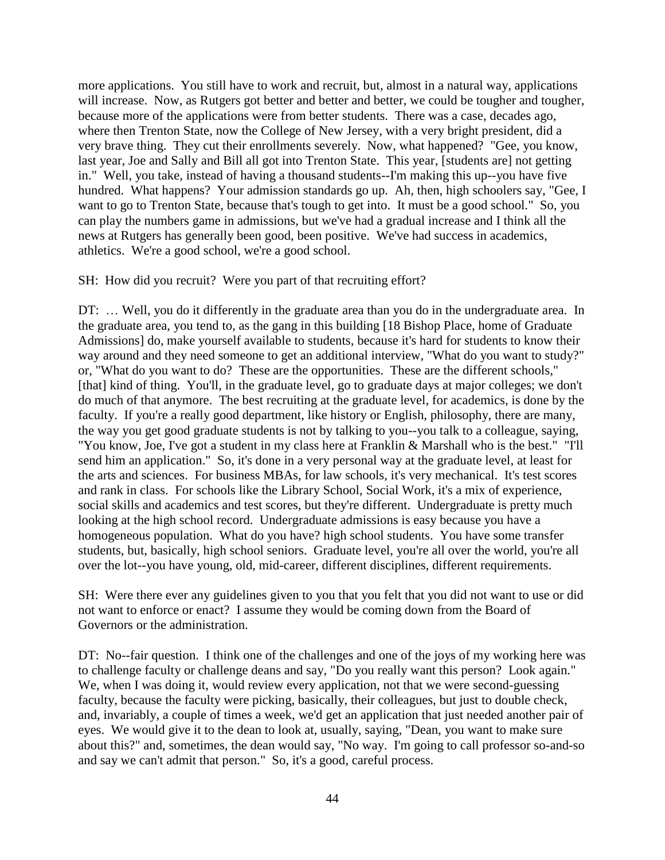more applications. You still have to work and recruit, but, almost in a natural way, applications will increase. Now, as Rutgers got better and better and better, we could be tougher and tougher, because more of the applications were from better students. There was a case, decades ago, where then Trenton State, now the College of New Jersey, with a very bright president, did a very brave thing. They cut their enrollments severely. Now, what happened? "Gee, you know, last year, Joe and Sally and Bill all got into Trenton State. This year, [students are] not getting in." Well, you take, instead of having a thousand students--I'm making this up--you have five hundred. What happens? Your admission standards go up. Ah, then, high schoolers say, "Gee, I want to go to Trenton State, because that's tough to get into. It must be a good school." So, you can play the numbers game in admissions, but we've had a gradual increase and I think all the news at Rutgers has generally been good, been positive. We've had success in academics, athletics. We're a good school, we're a good school.

#### SH: How did you recruit? Were you part of that recruiting effort?

DT: ... Well, you do it differently in the graduate area than you do in the undergraduate area. In the graduate area, you tend to, as the gang in this building [18 Bishop Place, home of Graduate Admissions] do, make yourself available to students, because it's hard for students to know their way around and they need someone to get an additional interview, "What do you want to study?" or, "What do you want to do? These are the opportunities. These are the different schools," [that] kind of thing. You'll, in the graduate level, go to graduate days at major colleges; we don't do much of that anymore. The best recruiting at the graduate level, for academics, is done by the faculty. If you're a really good department, like history or English, philosophy, there are many, the way you get good graduate students is not by talking to you--you talk to a colleague, saying, "You know, Joe, I've got a student in my class here at Franklin & Marshall who is the best." "I'll send him an application." So, it's done in a very personal way at the graduate level, at least for the arts and sciences. For business MBAs, for law schools, it's very mechanical. It's test scores and rank in class. For schools like the Library School, Social Work, it's a mix of experience, social skills and academics and test scores, but they're different. Undergraduate is pretty much looking at the high school record. Undergraduate admissions is easy because you have a homogeneous population. What do you have? high school students. You have some transfer students, but, basically, high school seniors. Graduate level, you're all over the world, you're all over the lot--you have young, old, mid-career, different disciplines, different requirements.

SH: Were there ever any guidelines given to you that you felt that you did not want to use or did not want to enforce or enact? I assume they would be coming down from the Board of Governors or the administration.

DT: No--fair question. I think one of the challenges and one of the joys of my working here was to challenge faculty or challenge deans and say, "Do you really want this person? Look again." We, when I was doing it, would review every application, not that we were second-guessing faculty, because the faculty were picking, basically, their colleagues, but just to double check, and, invariably, a couple of times a week, we'd get an application that just needed another pair of eyes. We would give it to the dean to look at, usually, saying, "Dean, you want to make sure about this?" and, sometimes, the dean would say, "No way. I'm going to call professor so-and-so and say we can't admit that person." So, it's a good, careful process.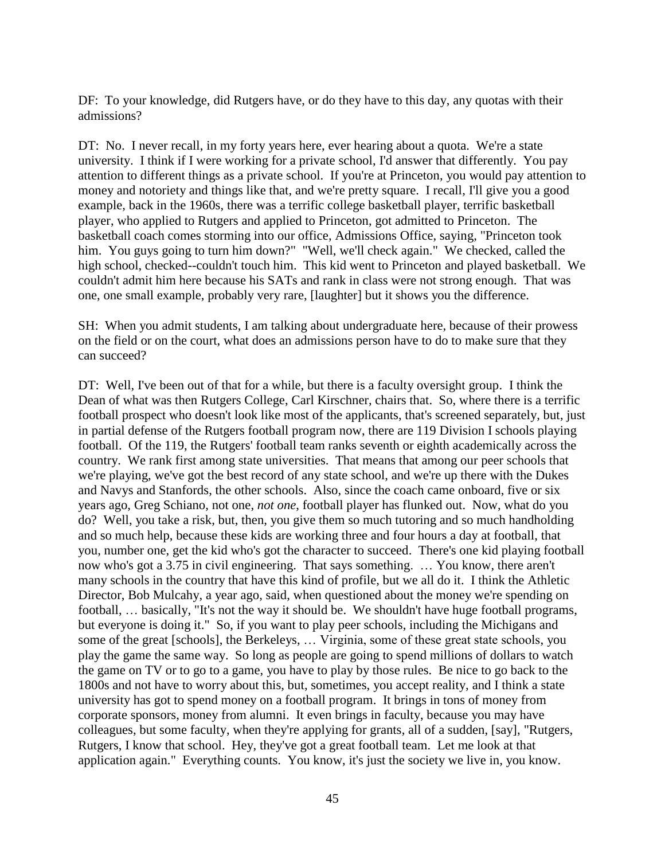DF: To your knowledge, did Rutgers have, or do they have to this day, any quotas with their admissions?

DT: No. I never recall, in my forty years here, ever hearing about a quota. We're a state university. I think if I were working for a private school, I'd answer that differently. You pay attention to different things as a private school. If you're at Princeton, you would pay attention to money and notoriety and things like that, and we're pretty square. I recall, I'll give you a good example, back in the 1960s, there was a terrific college basketball player, terrific basketball player, who applied to Rutgers and applied to Princeton, got admitted to Princeton. The basketball coach comes storming into our office, Admissions Office, saying, "Princeton took him. You guys going to turn him down?" "Well, we'll check again." We checked, called the high school, checked--couldn't touch him. This kid went to Princeton and played basketball. We couldn't admit him here because his SATs and rank in class were not strong enough. That was one, one small example, probably very rare, [laughter] but it shows you the difference.

SH: When you admit students, I am talking about undergraduate here, because of their prowess on the field or on the court, what does an admissions person have to do to make sure that they can succeed?

DT: Well, I've been out of that for a while, but there is a faculty oversight group. I think the Dean of what was then Rutgers College, Carl Kirschner, chairs that. So, where there is a terrific football prospect who doesn't look like most of the applicants, that's screened separately, but, just in partial defense of the Rutgers football program now, there are 119 Division I schools playing football. Of the 119, the Rutgers' football team ranks seventh or eighth academically across the country. We rank first among state universities. That means that among our peer schools that we're playing, we've got the best record of any state school, and we're up there with the Dukes and Navys and Stanfords, the other schools. Also, since the coach came onboard, five or six years ago, Greg Schiano, not one, *not one*, football player has flunked out. Now, what do you do? Well, you take a risk, but, then, you give them so much tutoring and so much handholding and so much help, because these kids are working three and four hours a day at football, that you, number one, get the kid who's got the character to succeed. There's one kid playing football now who's got a 3.75 in civil engineering. That says something. … You know, there aren't many schools in the country that have this kind of profile, but we all do it. I think the Athletic Director, Bob Mulcahy, a year ago, said, when questioned about the money we're spending on football, … basically, "It's not the way it should be. We shouldn't have huge football programs, but everyone is doing it." So, if you want to play peer schools, including the Michigans and some of the great [schools], the Berkeleys, … Virginia, some of these great state schools, you play the game the same way. So long as people are going to spend millions of dollars to watch the game on TV or to go to a game, you have to play by those rules. Be nice to go back to the 1800s and not have to worry about this, but, sometimes, you accept reality, and I think a state university has got to spend money on a football program. It brings in tons of money from corporate sponsors, money from alumni. It even brings in faculty, because you may have colleagues, but some faculty, when they're applying for grants, all of a sudden, [say], "Rutgers, Rutgers, I know that school. Hey, they've got a great football team. Let me look at that application again." Everything counts. You know, it's just the society we live in, you know.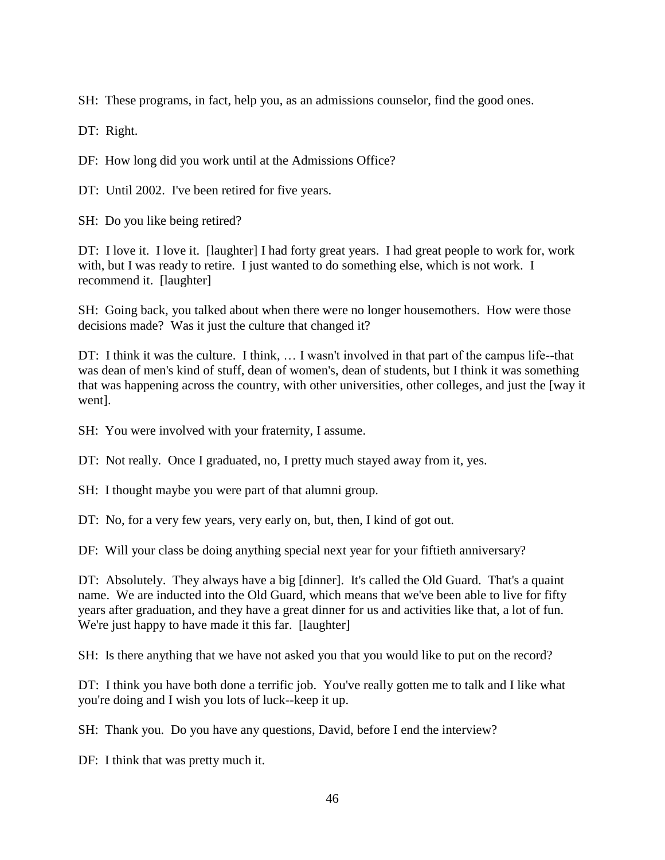SH: These programs, in fact, help you, as an admissions counselor, find the good ones.

DT: Right.

DF: How long did you work until at the Admissions Office?

DT: Until 2002. I've been retired for five years.

SH: Do you like being retired?

DT: I love it. I love it. [laughter] I had forty great years. I had great people to work for, work with, but I was ready to retire. I just wanted to do something else, which is not work. I recommend it. [laughter]

SH: Going back, you talked about when there were no longer housemothers. How were those decisions made? Was it just the culture that changed it?

DT: I think it was the culture. I think, … I wasn't involved in that part of the campus life--that was dean of men's kind of stuff, dean of women's, dean of students, but I think it was something that was happening across the country, with other universities, other colleges, and just the [way it went].

SH: You were involved with your fraternity, I assume.

DT: Not really. Once I graduated, no, I pretty much stayed away from it, yes.

SH: I thought maybe you were part of that alumni group.

DT: No, for a very few years, very early on, but, then, I kind of got out.

DF: Will your class be doing anything special next year for your fiftieth anniversary?

DT: Absolutely. They always have a big [dinner]. It's called the Old Guard. That's a quaint name. We are inducted into the Old Guard, which means that we've been able to live for fifty years after graduation, and they have a great dinner for us and activities like that, a lot of fun. We're just happy to have made it this far. [laughter]

SH: Is there anything that we have not asked you that you would like to put on the record?

DT: I think you have both done a terrific job. You've really gotten me to talk and I like what you're doing and I wish you lots of luck--keep it up.

SH: Thank you. Do you have any questions, David, before I end the interview?

DF: I think that was pretty much it.